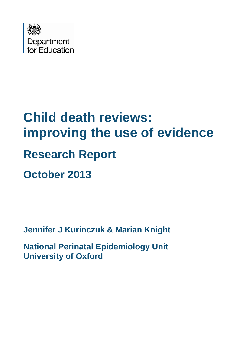

# **Child death reviews: improving the use of evidence Research Report October 2013**

**Jennifer J Kurinczuk & Marian Knight**

**National Perinatal Epidemiology Unit University of Oxford**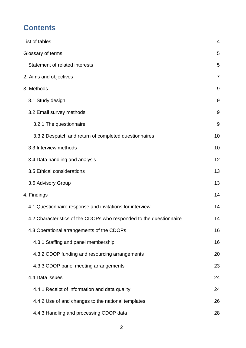# **Contents**

|                                                                     | $\overline{4}$ |
|---------------------------------------------------------------------|----------------|
| List of tables                                                      |                |
| Glossary of terms                                                   | 5              |
| Statement of related interests                                      | 5              |
| 2. Aims and objectives                                              | 7              |
| 3. Methods                                                          | 9              |
| 3.1 Study design                                                    | 9              |
| 3.2 Email survey methods                                            | 9              |
| 3.2.1 The questionnaire                                             | 9              |
| 3.3.2 Despatch and return of completed questionnaires               | 10             |
| 3.3 Interview methods                                               | 10             |
| 3.4 Data handling and analysis                                      | 12             |
| 3.5 Ethical considerations                                          | 13             |
| 3.6 Advisory Group                                                  | 13             |
| 4. Findings                                                         | 14             |
| 4.1 Questionnaire response and invitations for interview            | 14             |
| 4.2 Characteristics of the CDOPs who responded to the questionnaire | 14             |
| 4.3 Operational arrangements of the CDOPs                           | 16             |
| 4.3.1 Staffing and panel membership                                 | 16             |
| 4.3.2 CDOP funding and resourcing arrangements                      | 20             |
| 4.3.3 CDOP panel meeting arrangements                               | 23             |
| 4.4 Data issues                                                     | 24             |
| 4.4.1 Receipt of information and data quality                       | 24             |
| 4.4.2 Use of and changes to the national templates                  | 26             |
| 4.4.3 Handling and processing CDOP data                             | 28             |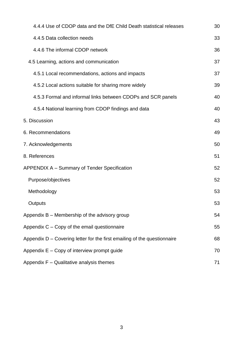| 4.4.4 Use of CDOP data and the DfE Child Death statistical releases        | 30 |
|----------------------------------------------------------------------------|----|
| 4.4.5 Data collection needs                                                | 33 |
| 4.4.6 The informal CDOP network                                            | 36 |
| 4.5 Learning, actions and communication                                    | 37 |
| 4.5.1 Local recommendations, actions and impacts                           | 37 |
| 4.5.2 Local actions suitable for sharing more widely                       | 39 |
| 4.5.3 Formal and informal links between CDOPs and SCR panels               | 40 |
| 4.5.4 National learning from CDOP findings and data                        | 40 |
| 5. Discussion                                                              | 43 |
| 6. Recommendations                                                         | 49 |
| 7. Acknowledgements                                                        | 50 |
| 8. References                                                              | 51 |
| <b>APPENDIX A - Summary of Tender Specification</b>                        | 52 |
| Purpose/objectives                                                         | 52 |
| Methodology                                                                | 53 |
| Outputs                                                                    | 53 |
| Appendix B - Membership of the advisory group                              | 54 |
| Appendix C - Copy of the email questionnaire                               | 55 |
| Appendix $D -$ Covering letter for the first emailing of the questionnaire | 68 |
| Appendix E - Copy of interview prompt guide                                | 70 |
| Appendix F - Qualitative analysis themes                                   | 71 |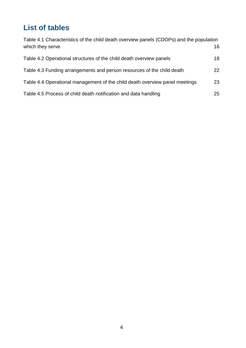# <span id="page-3-0"></span>**List of tables**

| Table 4.1 Characteristics of the child death overview panels (CDOPs) and the population |    |  |  |
|-----------------------------------------------------------------------------------------|----|--|--|
| which they serve                                                                        | 16 |  |  |
| Table 4.2 Operational structures of the child death overview panels                     | 18 |  |  |
| Table 4.3 Funding arrangements and person resources of the child death                  | 22 |  |  |
| Table 4.4 Operational management of the child death overview panel meetings             | 23 |  |  |
| Table 4.5 Process of child death notification and data handling                         | 25 |  |  |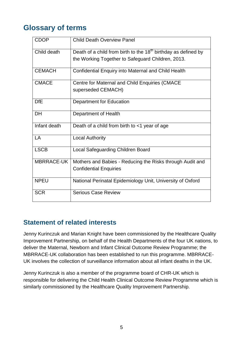## <span id="page-4-0"></span>**Glossary of terms**

| <b>CDOP</b>       | <b>Child Death Overview Panel</b>                                                                                     |
|-------------------|-----------------------------------------------------------------------------------------------------------------------|
| Child death       | Death of a child from birth to the $18th$ birthday as defined by<br>the Working Together to Safeguard Children, 2013. |
| <b>CEMACH</b>     | Confidential Enquiry into Maternal and Child Health                                                                   |
| <b>CMACE</b>      | Centre for Maternal and Child Enquiries (CMACE<br>superseded CEMACH)                                                  |
| <b>DfE</b>        | <b>Department for Education</b>                                                                                       |
| <b>DH</b>         | Department of Health                                                                                                  |
| Infant death      | Death of a child from birth to <1 year of age                                                                         |
| LA                | <b>Local Authority</b>                                                                                                |
| <b>LSCB</b>       | Local Safeguarding Children Board                                                                                     |
| <b>MBRRACE-UK</b> | Mothers and Babies - Reducing the Risks through Audit and<br><b>Confidential Enquiries</b>                            |
| <b>NPEU</b>       | National Perinatal Epidemiology Unit, University of Oxford                                                            |
| <b>SCR</b>        | <b>Serious Case Review</b>                                                                                            |

## <span id="page-4-1"></span>**Statement of related interests**

Jenny Kurinczuk and Marian Knight have been commissioned by the Healthcare Quality Improvement Partnership, on behalf of the Health Departments of the four UK nations, to deliver the Maternal, Newborn and Infant Clinical Outcome Review Programme; the MBRRACE-UK collaboration has been established to run this programme. MBRRACE-UK involves the collection of surveillance information about all infant deaths in the UK.

Jenny Kurinczuk is also a member of the programme board of CHR-UK which is responsible for delivering the Child Health Clinical Outcome Review Programme which is similarly commissioned by the Healthcare Quality Improvement Partnership.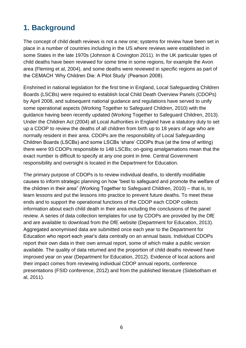# **1. Background**

The concept of child death reviews is not a new one; systems for review have been set in place in a number of countries including in the US where reviews were established in some States in the late 1970s (Johnson & Covington 2011). In the UK particular types of child deaths have been reviewed for some time in some regions, for example the Avon area (Fleming et al, 2004), and some deaths were reviewed in specific regions as part of the CEMACH 'Why Children Die: A Pilot Study' (Pearson 2008).

Enshrined in national legislation for the first time in England, Local Safeguarding Children Boards (LSCBs) were required to establish local Child Death Overview Panels (CDOPs) by April 2008, and subsequent national guidance and regulations have served to unify some operational aspects (Working Together to Safeguard Children, 2010) with the guidance having been recently updated (Working Together to Safeguard Children, 2013). Under the Children Act (2004) all Local Authorities in England have a statutory duty to set up a CDOP to review the deaths of all children from birth up to 18 years of age who are normally resident in their area. CDOPs are the responsibility of Local Safeguarding Children Boards (LSCBs) and some LSCBs 'share' CDOPs thus (at the time of writing) there were 93 CDOPs responsible to 148 LSCBs; on-going amalgamations mean that the exact number is difficult to specify at any one point in time. Central Government responsibility and oversight is located in the Department for Education.

The primary purpose of CDOPs is to review individual deaths, to identify modifiable causes to inform strategic planning on how "best to safeguard and promote the welfare of the children in their area" (Working Together to Safeguard Children, 2010) – that is, to learn lessons and put the lessons into practice to prevent future deaths. To meet these ends and to support the operational functions of the CDOP each CDOP collects information about each child death in their area including the conclusions of the panel review. A series of data collection templates for use by CDOPs are provided by the DfE and are available to download from the DfE website (Department for Education, 2013). Aggregated anonymised data are submitted once each year to the Department for Education who report each year's data centrally on an annual basis. Individual CDOPs report their own data in their own annual report, some of which make a public version available. The quality of data returned and the proportion of child deaths reviewed have improved year on year (Department for Education, 2012). Evidence of local actions and their impact comes from reviewing individual CDOP annual reports, conference presentations (FSID conference, 2012) and from the published literature (Sidebotham et al, 2011).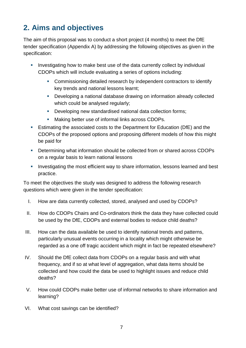# <span id="page-6-0"></span>**2. Aims and objectives**

The aim of this proposal was to conduct a short project (4 months) to meet the DfE tender specification (Appendix A) by addressing the following objectives as given in the specification:

- Investigating how to make best use of the data currently collect by individual CDOPs which will include evaluating a series of options including:
	- Commissioning detailed research by independent contractors to identify key trends and national lessons learnt;
	- Developing a national database drawing on information already collected which could be analysed regularly;
	- Developing new standardised national data collection forms;
	- **Making better use of informal links across CDOPs.**
- Estimating the associated costs to the Department for Education (DfE) and the CDOPs of the proposed options and proposing different models of how this might be paid for
- **Determining what information should be collected from or shared across CDOPs** on a regular basis to learn national lessons
- **Investigating the most efficient way to share information, lessons learned and best** practice.

To meet the objectives the study was designed to address the following research questions which were given in the tender specification:

- I. How are data currently collected, stored, analysed and used by CDOPs?
- II. How do CDOPs Chairs and Co-ordinators think the data they have collected could be used by the DfE, CDOPs and external bodies to reduce child deaths?
- III. How can the data available be used to identify national trends and patterns, particularly unusual events occurring in a locality which might otherwise be regarded as a one off tragic accident which might in fact be repeated elsewhere?
- IV. Should the DfE collect data from CDOPs on a regular basis and with what frequency, and if so at what level of aggregation, what data items should be collected and how could the data be used to highlight issues and reduce child deaths?
- V. How could CDOPs make better use of informal networks to share information and learning?
- VI. What cost savings can be identified?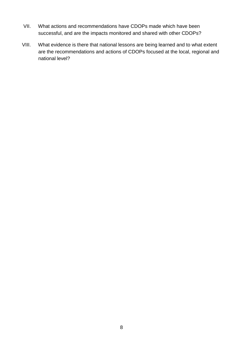- VII. What actions and recommendations have CDOPs made which have been successful, and are the impacts monitored and shared with other CDOPs?
- VIII. What evidence is there that national lessons are being learned and to what extent are the recommendations and actions of CDOPs focused at the local, regional and national level?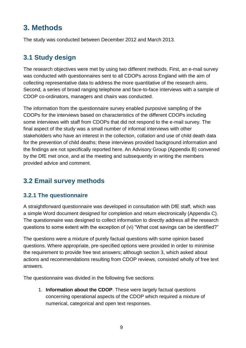# <span id="page-8-0"></span>**3. Methods**

The study was conducted between December 2012 and March 2013.

## <span id="page-8-1"></span>**3.1 Study design**

The research objectives were met by using two different methods. First, an e-mail survey was conducted with questionnaires sent to all CDOPs across England with the aim of collecting representative data to address the more quantitative of the research aims. Second, a series of broad ranging telephone and face-to-face interviews with a sample of CDOP co-ordinators, managers and chairs was conducted.

The information from the questionnaire survey enabled purposive sampling of the CDOPs for the interviews based on characteristics of the different CDOPs including some interviews with staff from CDOPs that did not respond to the e-mail survey. The final aspect of the study was a small number of informal interviews with other stakeholders who have an interest in the collection, collation and use of child death data for the prevention of child deaths; these interviews provided background information and the findings are not specifically reported here. An Advisory Group (Appendix B) convened by the DfE met once, and at the meeting and subsequently in writing the members provided advice and comment.

## <span id="page-8-2"></span>**3.2 Email survey methods**

#### <span id="page-8-3"></span>**3.2.1 The questionnaire**

A straightforward questionnaire was developed in consultation with DfE staff, which was a simple Word document designed for completion and return electronically (Appendix C). The questionnaire was designed to collect information to directly address all the research questions to some extent with the exception of (vi) "What cost savings can be identified?"

The questions were a mixture of purely factual questions with some opinion based questions. Where appropriate, pre-specified options were provided in order to minimise the requirement to provide free text answers; although section 3, which asked about actions and recommendations resulting from CDOP reviews, consisted wholly of free text answers.

The questionnaire was divided in the following five sections:

1. **Information about the CDOP**. These were largely factual questions concerning operational aspects of the CDOP which required a mixture of numerical, categorical and open text responses.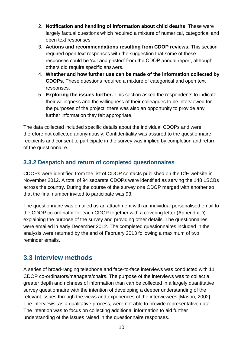- 2. **Notification and handling of information about child deaths**. These were largely factual questions which required a mixture of numerical, categorical and open text responses.
- 3. **Actions and recommendations resulting from CDOP reviews.** This section required open text responses with the suggestion that some of these responses could be 'cut and pasted' from the CDOP annual report, although others did require specific answers.
- 4. **Whether and how further use can be made of the information collected by CDOPs**. These questions required a mixture of categorical and open text responses.
- 5. **Exploring the issues further.** This section asked the respondents to indicate their willingness and the willingness of their colleagues to be interviewed for the purposes of the project; there was also an opportunity to provide any further information they felt appropriate.

The data collected included specific details about the individual CDOPs and were therefore not collected anonymously. Confidentiality was assured to the questionnaire recipients and consent to participate in the survey was implied by completion and return of the questionnaire.

#### <span id="page-9-0"></span>**3.3.2 Despatch and return of completed questionnaires**

CDOPs were identified from the list of CDOP contacts published on the DfE website in November 2012. A total of 94 separate CDOPs were identified as serving the 148 LSCBs across the country. During the course of the survey one CDOP merged with another so that the final number invited to participate was 93.

The questionnaire was emailed as an attachment with an individual personalised email to the CDOP co-ordinator for each CDOP together with a covering letter (Appendix D) explaining the purpose of the survey and providing other details. The questionnaires were emailed in early December 2012. The completed questionnaires included in the analysis were returned by the end of February 2013 following a maximum of two reminder emails.

## <span id="page-9-1"></span>**3.3 Interview methods**

A series of broad-ranging telephone and face-to-face interviews was conducted with 11 CDOP co-ordinators/managers/chairs. The purpose of the interviews was to collect a greater depth and richness of information than can be collected in a largely quantitative survey questionnaire with the intention of developing a deeper understanding of the relevant issues through the views and experiences of the interviewees [Mason, 2002]. The interviews, as a qualitative process, were not able to provide representative data. The intention was to focus on collecting additional information to aid further understanding of the issues raised in the questionnaire responses.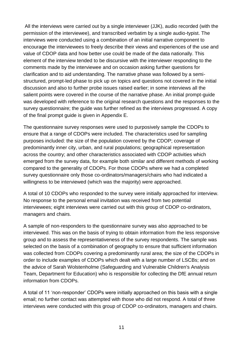All the interviews were carried out by a single interviewer (JJK), audio recorded (with the permission of the interviewee), and transcribed verbatim by a single audio-typist. The interviews were conducted using a combination of an initial narrative component to encourage the interviewees to freely describe their views and experiences of the use and value of CDOP data and how better use could be made of the data nationally. This element of the interview tended to be discursive with the interviewer responding to the comments made by the interviewee and on occasion asking further questions for clarification and to aid understanding. The narrative phase was followed by a semistructured, prompt-led phase to pick up on topics and questions not covered in the initial discussion and also to further probe issues raised earlier; in some interviews all the salient points were covered in the course of the narrative phase. An initial prompt-guide was developed with reference to the original research questions and the responses to the survey questionnaire; the guide was further refined as the interviews progressed. A copy of the final prompt guide is given in Appendix E.

The questionnaire survey responses were used to purposively sample the CDOPs to ensure that a range of CDOPs were included. The characteristics used for sampling purposes included: the size of the population covered by the CDOP; coverage of predominantly inner city, urban, and rural populations; geographical representation across the country; and other characteristics associated with CDOP activities which emerged from the survey data, for example both similar and different methods of working compared to the generality of CDOPs. For those CDOPs where we had a completed survey questionnaire only those co-ordinators/managers/chairs who had indicated a willingness to be interviewed (which was the majority) were approached.

A total of 10 CDOPs who responded to the survey were initially approached for interview. No response to the personal email invitation was received from two potential interviewees; eight interviews were carried out with this group of CDOP co-ordinators, managers and chairs.

A sample of non-responders to the questionnaire survey was also approached to be interviewed. This was on the basis of trying to obtain information from the less responsive group and to assess the representativeness of the survey respondents. The sample was selected on the basis of a combination of geography to ensure that sufficient information was collected from CDOPs covering a predominantly rural area; the size of the CDOPs in order to include examples of CDOPs which dealt with a large number of LSCBs; and on the advice of Sarah Wolstenholme (Safeguarding and Vulnerable Children's Analysis Team, Department for Education) who is responsible for collecting the DfE annual return information from CDOPs.

A total of 11 'non-responder' CDOPs were initially approached on this basis with a single email; no further contact was attempted with those who did not respond. A total of three interviews were conducted with this group of CDOP co-ordinators, managers and chairs.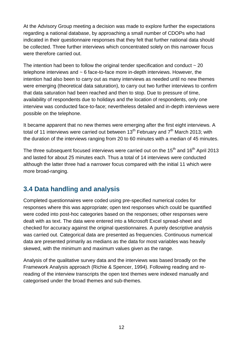At the Advisory Group meeting a decision was made to explore further the expectations regarding a national database, by approaching a small number of CDOPs who had indicated in their questionnaire responses that they felt that further national data should be collected. Three further interviews which concentrated solely on this narrower focus were therefore carried out.

The intention had been to follow the original tender specification and conduct  $\sim$  20 telephone interviews and ~ 6 face-to-face more in-depth interviews. However, the intention had also been to carry out as many interviews as needed until no new themes were emerging (theoretical data saturation), to carry out two further interviews to confirm that data saturation had been reached and then to stop. Due to pressure of time, availability of respondents due to holidays and the location of respondents, only one interview was conducted face-to-face; nevertheless detailed and in-depth interviews were possible on the telephone.

It became apparent that no new themes were emerging after the first eight interviews. A total of 11 interviews were carried out between  $13<sup>th</sup>$  February and  $7<sup>th</sup>$  March 2013; with the duration of the interviews ranging from 20 to 60 minutes with a median of 45 minutes.

The three subsequent focused interviews were carried out on the  $15<sup>th</sup>$  and  $16<sup>th</sup>$  April 2013 and lasted for about 25 minutes each. Thus a total of 14 interviews were conducted although the latter three had a narrower focus compared with the initial 11 which were more broad-ranging.

## <span id="page-11-0"></span>**3.4 Data handling and analysis**

Completed questionnaires were coded using pre-specified numerical codes for responses where this was appropriate; open text responses which could be quantified were coded into post-hoc categories based on the responses; other responses were dealt with as text. The data were entered into a Microsoft Excel spread-sheet and checked for accuracy against the original questionnaires. A purely descriptive analysis was carried out. Categorical data are presented as frequencies. Continuous numerical data are presented primarily as medians as the data for most variables was heavily skewed, with the minimum and maximum values given as the range.

Analysis of the qualitative survey data and the interviews was based broadly on the Framework Analysis approach (Richie & Spencer, 1994). Following reading and rereading of the interview transcripts the open text themes were indexed manually and categorised under the broad themes and sub-themes.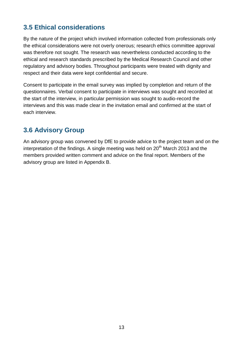## <span id="page-12-0"></span>**3.5 Ethical considerations**

By the nature of the project which involved information collected from professionals only the ethical considerations were not overly onerous; research ethics committee approval was therefore not sought. The research was nevertheless conducted according to the ethical and research standards prescribed by the Medical Research Council and other regulatory and advisory bodies. Throughout participants were treated with dignity and respect and their data were kept confidential and secure.

Consent to participate in the email survey was implied by completion and return of the questionnaires. Verbal consent to participate in interviews was sought and recorded at the start of the interview, in particular permission was sought to audio-record the interviews and this was made clear in the invitation email and confirmed at the start of each interview.

## <span id="page-12-1"></span>**3.6 Advisory Group**

An advisory group was convened by DfE to provide advice to the project team and on the interpretation of the findings. A single meeting was held on  $20<sup>th</sup>$  March 2013 and the members provided written comment and advice on the final report. Members of the advisory group are listed in Appendix B.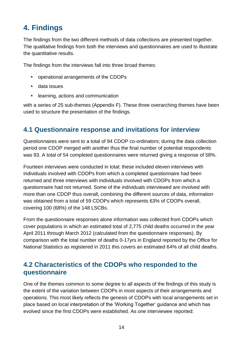# <span id="page-13-0"></span>**4. Findings**

The findings from the two different methods of data collections are presented together. The qualitative findings from both the interviews and questionnaires are used to illustrate the quantitative results.

The findings from the interviews fall into three broad themes:

- operational arrangements of the CDOPs
- **data issues**
- **EXECUTE:** learning, actions and communication

with a series of 25 sub-themes (Appendix F). These three overarching themes have been used to structure the presentation of the findings.

### <span id="page-13-1"></span>**4.1 Questionnaire response and invitations for interview**

Questionnaires were sent to a total of 94 CDOP co-ordinators; during the data collection period one CDOP merged with another thus the final number of potential respondents was 93. A total of 54 completed questionnaires were returned giving a response of 58%.

Fourteen interviews were conducted in total; these included eleven interviews with individuals involved with CDOPs from which a completed questionnaire had been returned and three interviews with individuals involved with CDOPs from which a questionnaire had not returned. Some of the individuals interviewed are involved with more than one CDOP thus overall, combining the different sources of data, information was obtained from a total of 59 CDOPs which represents 63% of CDOPs overall, covering 100 (68%) of the 148 LSCBs.

From the questionnaire responses alone information was collected from CDOPs which cover populations in which an estimated total of 2,775 child deaths occurred in the year April 2011 through March 2012 (calculated from the questionnaire responses). By comparison with the total number of deaths 0-17yrs in England reported by the Office for National Statistics as registered in 2011 this covers an estimated 64% of all child deaths.

## <span id="page-13-2"></span>**4.2 Characteristics of the CDOPs who responded to the questionnaire**

One of the themes common to some degree to all aspects of the findings of this study is the extent of the variation between CDOPs in most aspects of their arrangements and operations. This most likely reflects the genesis of CDOPs with local arrangements set in place based on local interpretation of the 'Working Together' guidance and which has evolved since the first CDOPs were established. As one interviewee reported: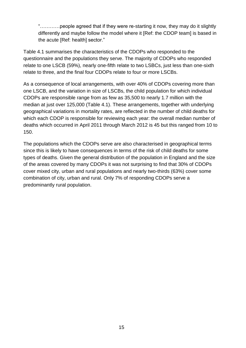"…………people agreed that if they were re-starting it now, they may do it slightly differently and maybe follow the model where it [Ref: the CDOP team] is based in the acute [Ref: health] sector."

Table 4.1 summarises the characteristics of the CDOPs who responded to the questionnaire and the populations they serve. The majority of CDOPs who responded relate to one LSCB (59%), nearly one-fifth relate to two LSBCs, just less than one-sixth relate to three, and the final four CDOPs relate to four or more LSCBs.

As a consequence of local arrangements, with over 40% of CDOPs covering more than one LSCB, and the variation in size of LSCBs, the child population for which individual CDOPs are responsible range from as few as 35,500 to nearly 1.7 million with the median at just over 125,000 (Table 4.1). These arrangements, together with underlying geographical variations in mortality rates, are reflected in the number of child deaths for which each CDOP is responsible for reviewing each year: the overall median number of deaths which occurred in April 2011 through March 2012 is 45 but this ranged from 10 to 150.

The populations which the CDOPs serve are also characterised in geographical terms since this is likely to have consequences in terms of the risk of child deaths for some types of deaths. Given the general distribution of the population in England and the size of the areas covered by many CDOPs it was not surprising to find that 30% of CDOPs cover mixed city, urban and rural populations and nearly two-thirds (63%) cover some combination of city, urban and rural. Only 7% of responding CDOPs serve a predominantly rural population.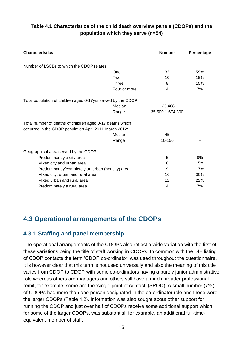| <b>Characteristics</b>                                        |              | <b>Number</b>    | Percentage |
|---------------------------------------------------------------|--------------|------------------|------------|
| Number of LSCBs to which the CDOP relates:                    |              |                  |            |
|                                                               | One          | 32               | 59%        |
|                                                               | Two          | 10               | 19%        |
|                                                               | Three        | 8                | 15%        |
|                                                               | Four or more | 4                | 7%         |
| Total population of children aged 0-17yrs served by the CDOP: |              |                  |            |
|                                                               | Median       | 125,468          |            |
|                                                               | Range        | 35,500-1,674,300 |            |
| Total number of deaths of children aged 0-17 deaths which     |              |                  |            |
| occurred in the CDOP population April 2011-March 2012:        | Median       | 45               |            |
|                                                               | Range        | 10-150           |            |
| Geographical area served by the CDOP:                         |              |                  |            |
| Predominantly a city area                                     |              | 5                | 9%         |
| Mixed city and urban area                                     |              | 8                | 15%        |
| Predominantly/completely an urban (not city) area             |              | 9                | 17%        |
| Mixed city, urban and rural area                              |              | 16               | 30%        |
| Mixed urban and rural area                                    |              | 12               | 22%        |
| Predominately a rural area                                    |              | 4                | 7%         |

#### <span id="page-15-2"></span>**Table 4.1 Characteristics of the child death overview panels (CDOPs) and the population which they serve (n=54)**

## <span id="page-15-0"></span>**4.3 Operational arrangements of the CDOPs**

#### <span id="page-15-1"></span>**4.3.1 Staffing and panel membership**

The operational arrangements of the CDOPs also reflect a wide variation with the first of these variations being the title of staff working in CDOPs. In common with the DfE listing of CDOP contacts the term 'CDOP co-ordinator' was used throughout the questionnaire, it is however clear that this term is not used universally and also the meaning of this title varies from CDOP to CDOP with some co-ordinators having a purely junior administrative role whereas others are managers and others still have a much broader professional remit, for example, some are the 'single point of contact' (SPOC). A small number (7%) of CDOPs had more than one person designated in the co-ordinator role and these were the larger CDOPs (Table 4.2). Information was also sought about other support for running the CDOP and just over half of CDOPs receive some additional support which, for some of the larger CDOPs, was substantial, for example, an additional full-timeequivalent member of staff.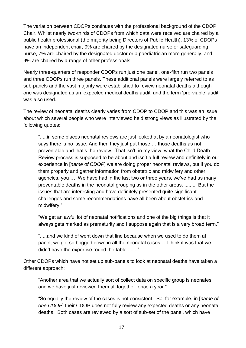The variation between CDOPs continues with the professional background of the CDOP Chair. Whilst nearly two-thirds of CDOPs from which data were received are chaired by a public health professional (the majority being Directors of Public Health), 13% of CDOPs have an independent chair, 9% are chaired by the designated nurse or safeguarding nurse, 7% are chaired by the designated doctor or a paediatrician more generally, and 9% are chaired by a range of other professionals.

Nearly three-quarters of responder CDOPs run just one panel, one-fifth run two panels and three CDOPs run three panels. These additional panels were largely referred to as sub-panels and the vast majority were established to review neonatal deaths although one was designated as an 'expected medical deaths audit' and the term 'pre-viable' audit was also used.

The review of neonatal deaths clearly varies from CDOP to CDOP and this was an issue about which several people who were interviewed held strong views as illustrated by the following quotes:

".....in some places neonatal reviews are just looked at by a neonatologist who says there is no issue. And then they just put those … those deaths as not preventable and that's the review. That isn't, in my view, what the Child Death Review process is supposed to be about and isn't a full review and definitely in our experience in [*name of CDOP*] we are doing proper neonatal reviews, but if you do them properly and gather information from obstetric and midwifery and other agencies, you …. We have had in the last two or three years, we've had as many preventable deaths in the neonatal grouping as in the other areas. ......... But the issues that are interesting and have definitely presented quite significant challenges and some recommendations have all been about obstetrics and midwifery."

"We get an awful lot of neonatal notifications and one of the big things is that it always gets marked as prematurity and I suppose again that is a very broad term."

".....and we kind of went down that line because when we used to do them at panel, we got so bogged down in all the neonatal cases… I think it was that we didn't have the expertise round the table........"

Other CDOPs which have not set up sub-panels to look at neonatal deaths have taken a different approach:

"Another area that we actually sort of collect data on specific group is neonates and we have just reviewed them all together, once a year."

"So equally the review of the cases is not consistent. So, for example, in [*name of one CDOP*] their CDOP does not fully review any expected deaths or any neonatal deaths. Both cases are reviewed by a sort of sub-set of the panel, which have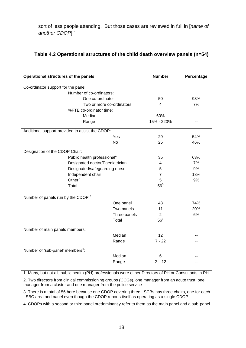sort of less people attending. But those cases are reviewed in full in [*name of another CDOP*]."

| Operational structures of the panels            |                                         | <b>Number</b> | Percentage      |     |
|-------------------------------------------------|-----------------------------------------|---------------|-----------------|-----|
| Co-ordinator support for the panel:             |                                         |               |                 |     |
|                                                 | Number of co-ordinators:                |               |                 |     |
|                                                 | One co-ordinator                        |               | 50              | 93% |
|                                                 | Two or more co-ordinators               |               | 4               | 7%  |
|                                                 | %FTE co-ordinator time:                 |               |                 |     |
|                                                 | Median                                  |               | 60%             |     |
|                                                 | Range                                   |               | 15% - 220%      |     |
| Additional support provided to assist the CDOP: |                                         |               |                 |     |
|                                                 |                                         | Yes           | 29              | 54% |
|                                                 |                                         | No            | 25              | 46% |
| Designation of the CDOP Chair:                  |                                         |               |                 |     |
|                                                 | Public health professional <sup>1</sup> |               | 35              | 63% |
|                                                 | Designated doctor/Paediatrician         |               | 4               | 7%  |
|                                                 | Designated/safeguarding nurse           |               | 5               | 9%  |
|                                                 | Independent chair                       |               | $\overline{7}$  | 13% |
|                                                 | Other $2$                               |               | 5               | 9%  |
|                                                 | Total                                   |               | $56^3$          |     |
| Number of panels run by the CDOP: <sup>4</sup>  |                                         |               |                 |     |
|                                                 |                                         | One panel     | 43              | 74% |
|                                                 |                                         | Two panels    | 11              | 20% |
|                                                 |                                         | Three panels  | $\overline{2}$  | 6%  |
|                                                 |                                         | Total         | 56 <sup>3</sup> |     |
| Number of main panels members:                  |                                         |               |                 |     |
|                                                 |                                         | Median        | 12              |     |
|                                                 |                                         | Range         | $7 - 22$        |     |
| Number of 'sub-panel' members <sup>4</sup> :    |                                         |               |                 |     |
|                                                 |                                         | Median        | 6               |     |
|                                                 |                                         | Range         | $2 - 12$        |     |

#### <span id="page-17-0"></span>**Table 4.2 Operational structures of the child death overview panels (n=54)**

1. Many, but not all, public health (PH) professionals were either Directors of PH or Consultants in PH

2. Two directors from clinical commissioning groups (CCGs), one manager from an acute trust, one manager from a cluster and one manager from the police service

3. There is a total of 56 here because one CDOP covering three LSCBs has three chairs, one for each LSBC area and panel even though the CDOP reports itself as operating as a single CDOP

4. CDOPs with a second or third panel predominantly refer to them as the main panel and a sub-panel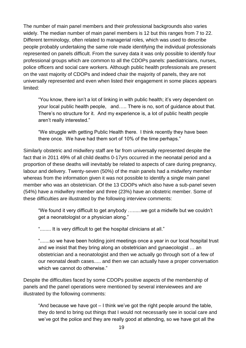The number of main panel members and their professional backgrounds also varies widely. The median number of main panel members is 12 but this ranges from 7 to 22. Different terminology, often related to managerial roles, which was used to describe people probably undertaking the same role made identifying the individual professionals represented on panels difficult. From the survey data it was only possible to identify four professional groups which are common to all the CDOPs panels: paediatricians, nurses, police officers and social care workers. Although public health professionals are present on the vast majority of CDOPs and indeed chair the majority of panels, they are not universally represented and even when listed their engagement in some places appears limited:

"You know, there isn't a lot of linking in with public health; it's very dependent on your local public health people, and….. There is no, sort of guidance about that. There's no structure for it. And my experience is, a lot of public health people aren't really interested."

"We struggle with getting Public Health there. I think recently they have been there once. We have had them sort of 10% of the time perhaps."

Similarly obstetric and midwifery staff are far from universally represented despite the fact that in 2011 49% of all child deaths 0-17yrs occurred in the neonatal period and a proportion of these deaths will inevitably be related to aspects of care during pregnancy, labour and delivery. Twenty-seven (50%) of the main panels had a midwifery member whereas from the information given it was not possible to identify a single main panel member who was an obstetrician. Of the 13 CDOPs which also have a sub-panel seven (54%) have a midwifery member and three (23%) have an obstetric member. Some of these difficulties are illustrated by the following interview comments:

"We found it very difficult to get anybody …......we got a midwife but we couldn't get a neonatologist or a physician along."

"........ It is very difficult to get the hospital clinicians at all."

".......so we have been holding joint meetings once a year in our local hospital trust and we insist that they bring along an obstetrician and gynaecologist … an obstetrician and a neonatologist and then we actually go through sort of a few of our neonatal death cases..... and then we can actually have a proper conversation which we cannot do otherwise."

Despite the difficulties faced by some CDOPs positive aspects of the membership of panels and the panel operations were mentioned by several interviewees and are illustrated by the following comments:

"And because we have got – I think we've got the right people around the table, they do tend to bring out things that I would not necessarily see in social care and we've got the police and they are really good at attending, so we have got all the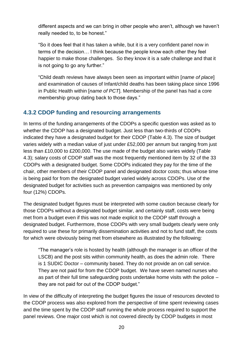different aspects and we can bring in other people who aren't, although we haven't really needed to, to be honest."

"So it does feel that it has taken a while, but it is a very confident panel now in terms of the decision… I think because the people know each other they feel happier to make those challenges. So they know it is a safe challenge and that it is not going to go any further."

"Child death reviews have always been seen as important within [*name of place*] and examination of causes of Infant/child deaths has been taking place since 1996 in Public Health within [*name of PCT*]. Membership of the panel has had a core membership group dating back to those days."

#### <span id="page-19-0"></span>**4.3.2 CDOP funding and resourcing arrangements**

In terms of the funding arrangements of the CDOPs a specific question was asked as to whether the CDOP has a designated budget. Just less than two-thirds of CDOPs indicated they have a designated budget for their CDOP (Table 4.3). The size of budget varies widely with a median value of just under £52,000 per annum but ranging from just less than £10,000 to £200,000. The use made of the budget also varies widely (Table 4.3); salary costs of CDOP staff was the most frequently mentioned item by 32 of the 33 CDOPs with a designated budget. Some CDOPs indicated they pay for the time of the chair, other members of their CDOP panel and designated doctor costs; thus whose time is being paid for from the designated budget varied widely across CDOPs. Use of the designated budget for activities such as prevention campaigns was mentioned by only four (12%) CDOPs.

The designated budget figures must be interpreted with some caution because clearly for those CDOPs without a designated budget similar, and certainly staff, costs were being met from a budget even if this was not made explicit to the CDOP staff through a designated budget. Furthermore, those CDOPs with very small budgets clearly were only required to use these for primarily dissemination activities and not to fund staff, the costs for which were obviously being met from elsewhere as illustrated by the following:

"The manager's role is hosted by health (although the manager is an officer of the LSCB) and the post sits within community health, as does the admin role. There is 1 SUDIC Doctor – community based. They do not provide an on call service. They are not paid for from the CDOP budget. We have seven named nurses who as part of their full time safeguarding posts undertake home visits with the police – they are not paid for out of the CDOP budget."

In view of the difficulty of interpreting the budget figures the issue of resources devoted to the CDOP process was also explored from the perspective of time spent reviewing cases and the time spent by the CDOP staff running the whole process required to support the panel reviews. One major cost which is not covered directly by CDOP budgets in most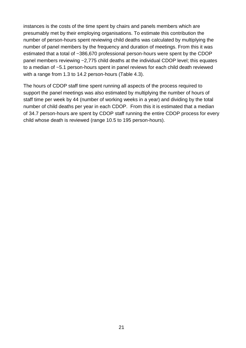instances is the costs of the time spent by chairs and panels members which are presumably met by their employing organisations. To estimate this contribution the number of person-hours spent reviewing child deaths was calculated by multiplying the number of panel members by the frequency and duration of meetings. From this it was estimated that a total of ~386,670 professional person-hours were spent by the CDOP panel members reviewing ~2,775 child deaths at the individual CDOP level; this equates to a median of ~5.1 person-hours spent in panel reviews for each child death reviewed with a range from 1.3 to 14.2 person-hours (Table 4.3).

The hours of CDOP staff time spent running all aspects of the process required to support the panel meetings was also estimated by multiplying the number of hours of staff time per week by 44 (number of working weeks in a year) and dividing by the total number of child deaths per year in each CDOP. From this it is estimated that a median of 34.7 person-hours are spent by CDOP staff running the entire CDOP process for every child whose death is reviewed (range 10.5 to 195 person-hours).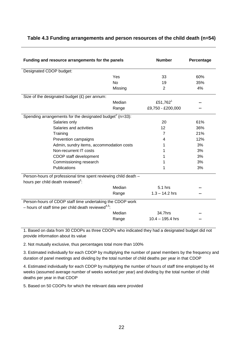#### <span id="page-21-0"></span>**Table 4.3 Funding arrangements and person resources of the child death (n=54)**

| Funding and resource arrangements for the panels                                                                    |           | <b>Number</b>        | Percentage |
|---------------------------------------------------------------------------------------------------------------------|-----------|----------------------|------------|
| Designated CDOP budget:                                                                                             |           |                      |            |
|                                                                                                                     | Yes       | 33                   | 60%        |
|                                                                                                                     | <b>No</b> | 19                   | 35%        |
|                                                                                                                     | Missing   | $\overline{2}$       | 4%         |
| Size of the designated budget $(E)$ per annum:                                                                      |           |                      |            |
|                                                                                                                     | Median    | £51,762 <sup>1</sup> |            |
|                                                                                                                     | Range     | £9,750 - £200,000    |            |
| Spending arrangements for the designated budget <sup>2</sup> ( $n=33$ ):                                            |           |                      |            |
| Salaries only                                                                                                       |           | 20                   | 61%        |
| Salaries and activities                                                                                             |           | 12                   | 36%        |
| Training                                                                                                            |           | $\overline{7}$       | 21%        |
| Prevention campaigns                                                                                                |           | 4                    | 12%        |
| Admin, sundry items, accommodation costs                                                                            |           | 1                    | 3%         |
| Non-recurrent IT costs                                                                                              |           |                      | 3%         |
| CDOP staff development                                                                                              |           |                      | 3%         |
| Commissioning research                                                                                              |           |                      | 3%         |
| Publications                                                                                                        |           | 1                    | 3%         |
| Person-hours of professional time spent reviewing child death -<br>hours per child death reviewed <sup>3</sup> :    |           |                      |            |
|                                                                                                                     | Median    | 5.1 hrs              |            |
|                                                                                                                     | Range     | $1.3 - 14.2$ hrs     |            |
| Person-hours of CDOP staff time undertaking the CDOP work<br>- hours of staff time per child death reviewed $4.5$ . |           |                      |            |
|                                                                                                                     | Median    | 34.7hrs              |            |
|                                                                                                                     | Range     | $10.4 - 195.4$ hrs   |            |

1. Based on data from 30 CDOPs as three CDOPs who indicated they had a designated budget did not provide information about its value

2. Not mutually exclusive, thus percentages total more than 100%

3. Estimated individually for each CDOP by multiplying the number of panel members by the frequency and duration of panel meetings and dividing by the total number of child deaths per year in that CDOP

4. Estimated individually for each CDOP by multiplying the number of hours of staff time employed by 44 weeks (assumed average number of weeks worked per year) and dividing by the total number of child deaths per year in that CDOP

5. Based on 50 CDOPs for which the relevant data were provided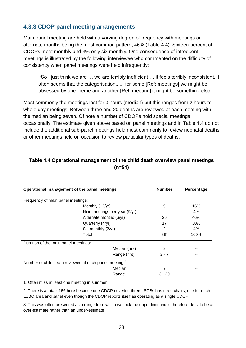#### <span id="page-22-0"></span>**4.3.3 CDOP panel meeting arrangements**

Main panel meeting are held with a varying degree of frequency with meetings on alternate months being the most common pattern, 46% (Table 4.4). Sixteen percent of CDOPs meet monthly and 4% only six monthly. One consequence of infrequent meetings is illustrated by the following interviewee who commented on the difficulty of consistency when panel meetings were held infrequently:

**"**So I just think we are … we are terribly inefficient … it feels terribly inconsistent, it often seems that the categorisation...... for some [Ref: meetings] we might be obsessed by one theme and another [Ref: meeting] it might be something else."

Most commonly the meetings last for 3 hours (median) but this ranges from 2 hours to whole day meetings. Between three and 20 deaths are reviewed at each meeting with the median being seven. Of note a number of CDOPs hold special meetings occasionally. The estimate given above based on panel meetings and in Table 4.4 do not include the additional sub-panel meetings held most commonly to review neonatal deaths or other meetings held on occasion to review particular types of deaths.

| Operational management of the panel meetings                       |                               | <b>Number</b> | Percentage |
|--------------------------------------------------------------------|-------------------------------|---------------|------------|
| Frequency of main panel meetings:                                  |                               |               |            |
|                                                                    | Monthly $(12/yr)^1$           | 9             | 16%        |
|                                                                    | Nine meetings per year (9/yr) | 2             | $4\%$      |
|                                                                    | Alternate months (6/yr)       | 26            | 46%        |
|                                                                    | Quarterly (4/yr)              | 17            | 30%        |
|                                                                    | Six monthly (2/yr)            |               | 4%         |
| Total                                                              |                               | $56^2$        | 100%       |
| Duration of the main panel meetings:                               |                               |               |            |
|                                                                    | Median (hrs)                  | 3             |            |
|                                                                    | Range (hrs)                   | $2 - 7$       | --         |
| Number of child death reviewed at each panel meeting: <sup>3</sup> |                               |               |            |
|                                                                    | Median                        |               |            |
|                                                                    | Range                         | $3 - 20$      |            |

#### <span id="page-22-1"></span>**Table 4.4 Operational management of the child death overview panel meetings (n=54)**

1. Often miss at least one meeting in summer

2. There is a total of 56 here because one CDOP covering three LSCBs has three chairs, one for each LSBC area and panel even though the CDOP reports itself as operating as a single CDOP

3. This was often presented as a range from which we took the upper limit and is therefore likely to be an over-estimate rather than an under-estimate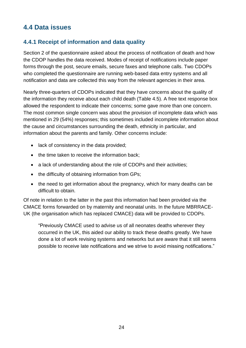## <span id="page-23-0"></span>**4.4 Data issues**

#### <span id="page-23-1"></span>**4.4.1 Receipt of information and data quality**

Section 2 of the questionnaire asked about the process of notification of death and how the CDOP handles the data received. Modes of receipt of notifications include paper forms through the post, secure emails, secure faxes and telephone calls. Two CDOPs who completed the questionnaire are running web-based data entry systems and all notification and data are collected this way from the relevant agencies in their area.

Nearly three-quarters of CDOPs indicated that they have concerns about the quality of the information they receive about each child death (Table 4.5). A free text response box allowed the respondent to indicate their concerns; some gave more than one concern. The most common single concern was about the provision of incomplete data which was mentioned in 29 (54%) responses; this sometimes included incomplete information about the cause and circumstances surrounding the death, ethnicity in particular, and information about the parents and family. Other concerns include:

- lack of consistency in the data provided;
- the time taken to receive the information back;
- a lack of understanding about the role of CDOPs and their activities;
- the difficulty of obtaining information from GPs;
- the need to get information about the pregnancy, which for many deaths can be difficult to obtain.

Of note in relation to the latter in the past this information had been provided via the CMACE forms forwarded on by maternity and neonatal units. In the future MBRRACE-UK (the organisation which has replaced CMACE) data will be provided to CDOPs.

"Previously CMACE used to advise us of all neonates deaths wherever they occurred in the UK, this aided our ability to track these deaths greatly. We have done a lot of work revising systems and networks but are aware that it still seems possible to receive late notifications and we strive to avoid missing notifications."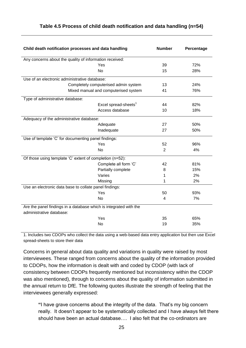| Child death notification processes and data handling              |                                      | <b>Number</b>  | Percentage |
|-------------------------------------------------------------------|--------------------------------------|----------------|------------|
| Any concerns about the quality of information received:           |                                      |                |            |
|                                                                   | Yes                                  | 39             | 72%        |
|                                                                   | <b>No</b>                            | 15             | 28%        |
| Use of an electronic administrative database:                     |                                      |                |            |
|                                                                   | Completely computerised admin system | 13             | 24%        |
|                                                                   | Mixed manual and computerised system | 41             | 76%        |
| Type of administrative database:                                  |                                      |                |            |
|                                                                   | Excel spread-sheets <sup>1</sup>     | 44             | 82%        |
|                                                                   | Access database                      | 10             | 18%        |
| Adequacy of the administrative database:                          |                                      |                |            |
|                                                                   | Adequate                             | 27             | 50%        |
|                                                                   | Inadequate                           | 27             | 50%        |
| Use of template 'C' for documenting panel findings:               |                                      |                |            |
|                                                                   | Yes                                  | 52             | 96%        |
|                                                                   | <b>No</b>                            | $\overline{2}$ | 4%         |
| Of those using template 'C' extent of completion (n=52):          |                                      |                |            |
|                                                                   | Complete all form 'C'                | 42             | 81%        |
|                                                                   | Partially complete                   | 8              | 15%        |
|                                                                   | Varies                               | 1              | 2%         |
|                                                                   | Missing                              | 1              | 2%         |
| Use an electronic data base to collate panel findings:            |                                      |                |            |
|                                                                   | Yes                                  | 50             | 93%        |
|                                                                   | <b>No</b>                            | 4              | 7%         |
| Are the panel findings in a database which is integrated with the |                                      |                |            |
| administrative database:                                          |                                      |                |            |
|                                                                   | Yes                                  | 35             | 65%        |
|                                                                   | No                                   | 19             | 35%        |

#### <span id="page-24-0"></span>**Table 4.5 Process of child death notification and data handling (n=54)**

1. Includes two CDOPs who collect the data using a web-based data entry application but then use Excel spread-sheets to store their data

Concerns in general about data quality and variations in quality were raised by most interviewees. These ranged from concerns about the quality of the information provided to CDOPs, how the information is dealt with and coded by CDOP (with lack of consistency between CDOPs frequently mentioned but inconsistency within the CDOP was also mentioned), through to concerns about the quality of information submitted in the annual return to DfE. The following quotes illustrate the strength of feeling that the interviewees generally expressed:

**"**I have grave concerns about the integrity of the data. That's my big concern really. It doesn't appear to be systematically collected and I have always felt there should have been an actual database…. I also felt that the co-ordinators are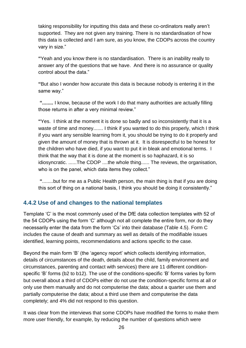taking responsibility for inputting this data and these co-ordinators really aren't supported. They are not given any training. There is no standardisation of how this data is collected and I am sure, as you know, the CDOPs across the country vary in size."

**"**Yeah and you know there is no standardisation. There is an inability really to answer any of the questions that we have. And there is no assurance or quality control about the data."

**"**But also I wonder how accurate this data is because nobody is entering it in the same way."

**"........** I know, because of the work I do that many authorities are actually filling those returns in after a very minimal review."

**"**Yes. I think at the moment it is done so badly and so inconsistently that it is a waste of time and money....... I think if you wanted to do this properly, which I think if you want any sensible learning from it, you should be trying to do it properly and given the amount of money that is thrown at it. It is disrespectful to be honest for the children who have died, if you want to put it in bleak and emotional terms. I think that the way that it is done at the moment is so haphazard, it is so idiosyncratic. ......The CDOP ....the whole thing...... The reviews, the organisation, who is on the panel, which data items they collect."

**"**........but for me as a Public Health person, the main thing is that if you are doing this sort of thing on a national basis, I think you should be doing it consistently."

#### <span id="page-25-0"></span>**4.4.2 Use of and changes to the national templates**

Template 'C' is the most commonly used of the DfE data collection templates with 52 of the 54 CDOPs using the form 'C' although not all complete the entire form, nor do they necessarily enter the data from the form 'Cs' into their database (Table 4.5). Form C includes the cause of death and summary as well as details of the modifiable issues identified, learning points, recommendations and actions specific to the case.

Beyond the main form 'B' (the 'agency report' which collects identifying information, details of circumstances of the death, details about the child, family environment and circumstances, parenting and contact with services) there are 11 different conditionspecific 'B' forms (b2 to b12). The use of the conditions-specific 'B' forms varies by form but overall about a third of CDOPs either do not use the condition-specific forms at all or only use them manually and do not computerise the data; about a quarter use them and partially computerise the data; about a third use them and computerise the data completely; and 4% did not respond to this question.

It was clear from the interviews that some CDOPs have modified the forms to make them more user friendly, for example, by reducing the number of questions which were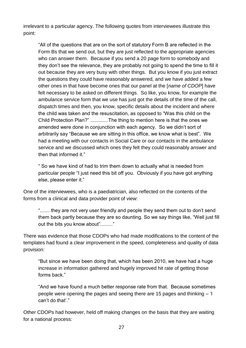irrelevant to a particular agency. The following quotes from interviewees illustrate this point:

"All of the questions that are on the sort of statutory Form B are reflected in the Form Bs that we send out, but they are just reflected to the appropriate agencies who can answer them. Because if you send a 20 page form to somebody and they don't see the relevance, they are probably not going to spend the time to fill it out because they are very busy with other things. But you know if you just extract the questions they could have reasonably answered, and we have added a few other ones in that have become ones that our panel at the [*name of CDOP*] have felt necessary to be asked on different things. So like, you know, for example the ambulance service form that we use has just got the details of the time of the call, dispatch times and then, you know, specific details about the incident and where the child was taken and the resuscitation, as opposed to "Was this child on the Child Protection Plan?" .............The thing to mention here is that the ones we amended were done in conjunction with each agency. So we didn't sort of arbitrarily say "Because we are sitting in this office, we know what is best". We had a meeting with our contacts in Social Care or our contacts in the ambulance service and we discussed which ones they felt they could reasonably answer and then that informed it."

" So we have kind of had to trim them down to actually what is needed from particular people "I just need this bit off you. Obviously if you have got anything else, please enter it."

One of the interviewees, who is a paediatrician, also reflected on the contents of the forms from a clinical and data provider point of view:

"....... they are not very user friendly and people they send them out to don't send them back partly because they are so daunting. So we say things like, "Well just fill out the bits you know about"........."

There was evidence that those CDOPs who had made modifications to the content of the templates had found a clear improvement in the speed, completeness and quality of data provision:

"But since we have been doing that, which has been 2010, we have had a huge increase in information gathered and hugely improved hit rate of getting those forms back."

"And we have found a much better response rate from that. Because sometimes people were opening the pages and seeing there are 15 pages and thinking – 'I can't do that'."

Other CDOPs had however, held off making changes on the basis that they are waiting for a national process: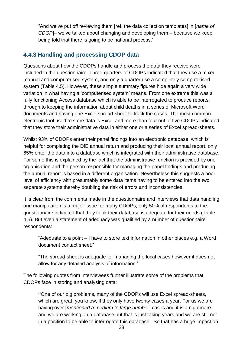"And we've put off reviewing them [ref: the data collection templates] in [*name of CDOP*]– we've talked about changing and developing them – because we keep being told that there is going to be national process."

#### <span id="page-27-0"></span>**4.4.3 Handling and processing CDOP data**

Questions about how the CDOPs handle and process the data they receive were included in the questionnaire. Three-quarters of CDOPs indicated that they use a mixed manual and computerised system, and only a quarter use a completely computerised system (Table 4.5). However, these simple summary figures hide again a very wide variation in what having a 'computerised system' means. From one extreme this was a fully functioning Access database which is able to be interrogated to produce reports, through to keeping the information about child deaths in a series of Microsoft Word documents and having one Excel spread-sheet to track the cases. The most common electronic tool used to store data is Excel and more than four out of five CDOPs indicated that they store their administrative data in either one or a series of Excel spread-sheets.

Whilst 93% of CDOPs enter their panel findings into an electronic database, which is helpful for completing the DfE annual return and producing their local annual report, only 65% enter the data into a database which is integrated with their administrative database. For some this is explained by the fact that the administrative function is provided by one organisation and the person responsible for managing the panel findings and producing the annual report is based in a different organisation. Nevertheless this suggests a poor level of efficiency with presumably some data items having to be entered into the two separate systems thereby doubling the risk of errors and inconsistencies.

It is clear from the comments made in the questionnaire and interviews that data handling and manipulation is a major issue for many CDOPs; only 50% of respondents to the questionnaire indicated that they think their database is adequate for their needs (Table 4.5). But even a statement of adequacy was qualified by a number of questionnaire respondents:

"Adequate to a point – I have to store text information in other places e.g. a Word document contact sheet."

"The spread-sheet is adequate for managing the local cases however it does not allow for any detailed analysis of information."

The following quotes from interviewees further illustrate some of the problems that CDOPs face in storing and analysing data:

**"**One of our big problems, many of the CDOPs will use Excel spread-sheets, which are great, you know, if they only have twenty cases a year. For us we are having over [*mentioned a medium to large number*] cases and it is a nightmare and we are working on a database but that is just taking years and we are still not in a position to be able to interrogate this database. So that has a huge impact on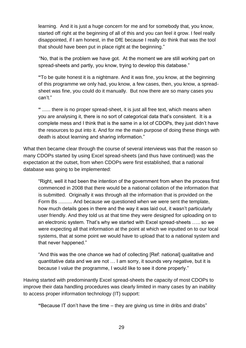learning. And it is just a huge concern for me and for somebody that, you know, started off right at the beginning of all of this and you can feel it grow. I feel really disappointed, if I am honest, in the DfE because I really do think that was the tool that should have been put in place right at the beginning."

"No, that is the problem we have got. At the moment we are still working part on spread-sheets and partly, you know, trying to develop this database."

**"**To be quite honest it is a nightmare. And it was fine, you know, at the beginning of this programme we only had, you know, a few cases, then, you know, a spreadsheet was fine, you could do it manually. But now there are so many cases you can't."

**"** ...... there is no proper spread-sheet, it is just all free text, which means when you are analysing it, there is no sort of categorical data that's consistent. It is a complete mess and I think that is the same in a lot of CDOPs, they just didn't have the resources to put into it. And for me the main purpose of doing these things with death is about learning and sharing information."

What then became clear through the course of several interviews was that the reason so many CDOPs started by using Excel spread-sheets (and thus have continued) was the expectation at the outset, from when CDOPs were first established, that a national database was going to be implemented:

"Right, well it had been the intention of the government from when the process first commenced in 2008 that there would be a national collation of the information that is submitted. Originally it was through all the information that is provided on the Form Bs .......... And because we questioned when we were sent the template, how much details goes in there and the way it was laid out, it wasn't particularly user friendly. And they told us at that time they were designed for uploading on to an electronic system. That's why we started with Excel spread-sheets ….. so we were expecting all that information at the point at which we inputted on to our local systems, that at some point we would have to upload that to a national system and that never happened."

"And this was the one chance we had of collecting [Ref: national] qualitative and quantitative data and we are not … I am sorry, it sounds very negative, but it is because I value the programme, I would like to see it done properly."

Having started with predominantly Excel spread-sheets the capacity of most CDOPs to improve their data handling procedures was clearly limited in many cases by an inability to access proper information technology (IT) support:

**"**Because IT don't have the time – they are giving us time in dribs and drabs"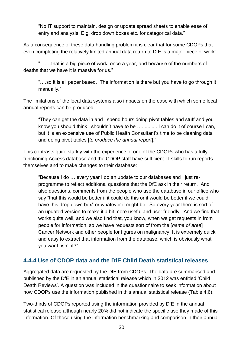"No IT support to maintain, design or update spread sheets to enable ease of entry and analysis. E.g. drop down boxes etc. for categorical data."

As a consequence of these data handling problem it is clear that for some CDOPs that even completing the relatively limited annual data return to DfE is a major piece of work:

" ……that is a big piece of work, once a year, and because of the numbers of deaths that we have it is massive for us."

"….so it is all paper based. The information is there but you have to go through it manually."

The limitations of the local data systems also impacts on the ease with which some local annual reports can be produced.

"They can get the data in and I spend hours doing pivot tables and stuff and you know you should think I shouldn't have to be …........... I can do it of course I can, but it is an expensive use of Public Health Consultant's time to be cleaning data and doing pivot tables [*to produce the annual report*]."

This contrasts quite starkly with the experience of one of the CDOPs who has a fully functioning Access database and the CDOP staff have sufficient IT skills to run reports themselves and to make changes to their database:

"Because I do … every year I do an update to our databases and I just reprogramme to reflect additional questions that the DfE ask in their return. And also questions, comments from the people who use the database in our office who say "that this would be better if it could do this or it would be better if we could have this drop down box" or whatever it might be. So every year there is sort of an updated version to make it a bit more useful and user friendly. And we find that works quite well, and we also find that, you know, when we get requests in from people for information, so we have requests sort of from the [*name of area*] Cancer Network and other people for figures on malignancy. It is extremely quick and easy to extract that information from the database, which is obviously what you want, isn't it?"

#### <span id="page-29-0"></span>**4.4.4 Use of CDOP data and the DfE Child Death statistical releases**

Aggregated data are requested by the DfE from CDOPs. The data are summarised and published by the DfE in an annual statistical release which in 2012 was entitled 'Child Death Reviews'. A question was included in the questionnaire to seek information about how CDOPs use the information published in this annual statistical release (Table 4.6).

Two-thirds of CDOPs reported using the information provided by DfE in the annual statistical release although nearly 20% did not indicate the specific use they made of this information. Of those using the information benchmarking and comparison in their annual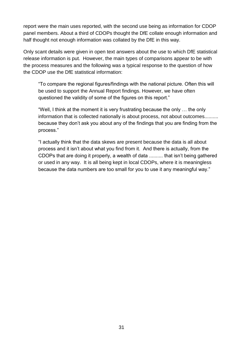report were the main uses reported, with the second use being as information for CDOP panel members. About a third of CDOPs thought the DfE collate enough information and half thought not enough information was collated by the DfE in this way.

Only scant details were given in open text answers about the use to which DfE statistical release information is put. However, the main types of comparisons appear to be with the process measures and the following was a typical response to the question of how the CDOP use the DfE statistical information:

"To compare the regional figures/findings with the national picture. Often this will be used to support the Annual Report findings. However, we have often questioned the validity of some of the figures on this report."

"Well, I think at the moment it is very frustrating because the only … the only information that is collected nationally is about process, not about outcomes.......... because they don't ask you about any of the findings that you are finding from the process."

"I actually think that the data skews are present because the data is all about process and it isn't about what you find from it. And there is actually, from the CDOPs that are doing it properly, a wealth of data .......... that isn't being gathered or used in any way. It is all being kept in local CDOPs, where it is meaningless because the data numbers are too small for you to use it any meaningful way."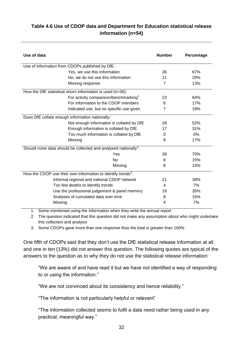#### **Table 4.6 Use of CDOP data and Department for Education statistical release information (n=54)**

| Use of data                                                                 | <b>Number</b>  | Percentage |
|-----------------------------------------------------------------------------|----------------|------------|
| Use of information from CDOPs published by DfE :                            |                |            |
| Yes, we use this information                                                | 36             | 67%        |
| No, we do not use this information                                          | 11             | 20%        |
| Missing response                                                            | 7              | 13%        |
| How the DfE statistical return information is used (n=36):                  |                |            |
| For activity comparison/benchmarking <sup>1</sup>                           | 23             | 64%        |
| For information to the CDOP members                                         | 6              | 17%        |
| Indicated use, but no specific use given                                    | $\overline{7}$ | 19%        |
| Does DfE collate enough information nationally:                             |                |            |
| Not enough information is collated by DfE                                   | 28             | 52%        |
| Enough information is collated by DfE                                       | 17             | 31%        |
| Too much information is collated by DfE                                     | 0              | 0%         |
| Missing                                                                     | 9              | 17%        |
| Should more data should be collected and analysed nationally <sup>2</sup> : |                |            |
| Yes                                                                         | 38             | 70%        |
| N <sub>0</sub>                                                              | 8              | 15%        |
| Missing                                                                     | 8              | 15%        |
| How the CDOP use their own information to identify trends <sup>3</sup> :    |                |            |
| Informal regional and national CDOP network                                 | 21             | 39%        |
| Too few deaths to identify trends                                           | 4              | 7%         |
| Use the professional judgement & panel memory                               | 19             | 35%        |
| Analyses of cumulated data over time                                        | 8              | 15%        |
| Missing                                                                     | 4              | 7%         |

1. Some mentioned using the information when they write the annual report

2. The question indicated that this question did not make any assumption about who might undertake this collection and analysis

3. Some CDOPs gave more than one response thus the total is greater than 100%

One fifth of CDOPs said that they don't use the DfE statistical release information at all and one in ten (13%) did not answer this question. The following quotes are typical of the answers to the question as to why they do not use the statistical release information:

"We are aware of and have read it but we have not identified a way of responding to or using the information."

"We are not convinced about its consistency and hence reliability."

"The information is not particularly helpful or relevant"

"The information collected seems to fulfil a data need rather being used in any practical, meaningful way."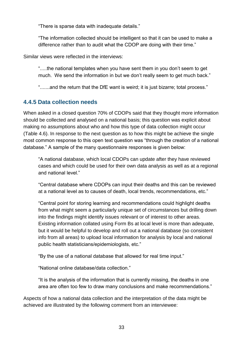"There is sparse data with inadequate details."

"The information collected should be intelligent so that it can be used to make a difference rather than to audit what the CDOP are doing with their time."

Similar views were reflected in the interviews:

".....the national templates when you have sent them in you don't seem to get much. We send the information in but we don't really seem to get much back."

".......and the return that the DfE want is weird; it is just bizarre; total process."

#### <span id="page-32-0"></span>**4.4.5 Data collection needs**

When asked in a closed question 70% of CDOPs said that they thought more information should be collected and analysed on a national basis; this question was explicit about making no assumptions about who and how this type of data collection might occur (Table 4.6). In response to the next question as to how this might be achieve the single most common response to this open text question was "through the creation of a national database." A sample of the many questionnaire responses is given below:

"A national database, which local CDOPs can update after they have reviewed cases and which could be used for their own data analysis as well as at a regional and national level."

"Central database where CDOPs can input their deaths and this can be reviewed at a national level as to causes of death, local trends, recommendations, etc."

"Central point for storing learning and recommendations could highlight deaths from what might seem a particularly unique set of circumstances but drilling down into the findings might identify issues relevant or of interest to other areas. Existing information collated using Form Bs at local level is more than adequate, but it would be helpful to develop and roll out a national database (so consistent info from all areas) to upload local information for analysis by local and national public health statisticians/epidemiologists, etc."

"By the use of a national database that allowed for real time input."

"National online database/data collection."

"It is the analysis of the information that is currently missing, the deaths in one area are often too few to draw many conclusions and make recommendations."

Aspects of how a national data collection and the interpretation of the data might be achieved are illustrated by the following comment from an interviewee: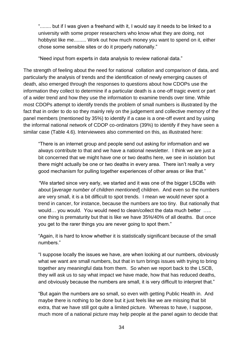"........ but if I was given a freehand with it, I would say it needs to be linked to a university with some proper researchers who know what they are doing, not hobbyist like me......... Work out how much money you want to spend on it, either chose some sensible sites or do it properly nationally."

"Need input from experts in data analysis to review national data."

The strength of feeling about the need for national collation and comparison of data, and particularly the analysis of trends and the identification of newly emerging causes of death, also emerged through the responses to questions about how CDOPs use the information they collect to determine if a particular death is a one-off tragic event or part of a wider trend and how they use the information to examine trends over time. While most CDOPs attempt to identify trends the problem of small numbers is illustrated by the fact that in order to do so they mainly rely on the judgement and collective memory of the panel members (mentioned by 35%) to identify if a case is a one-off event and by using the informal national network of CDOP co-ordinators (39%) to identify if they have seen a similar case (Table 4.6). Interviewees also commented on this, as illustrated here:

"There is an internet group and people send out asking for information and we always contribute to that and we have a national newsletter. I think we are just a bit concerned that we might have one or two deaths here, we see in isolation but there might actually be one or two deaths in every area. There isn't really a very good mechanism for pulling together experiences of other areas or like that."

"We started since very early, we started and it was one of the bigger LSCBs with about [*average number of children mentioned*] children. And even so the numbers are very small, it is a bit difficult to spot trends. I mean we would never spot a trend in cancer, for instance, because the numbers are too tiny. But nationally that would... you would. You would need to clean/collect the data much better ..... one thing is prematurity but that is like we have 35%/40% of all deaths. But once you get to the rarer things you are never going to spot them."

"Again, it is hard to know whether it is statistically significant because of the small numbers."

"I suppose locally the issues we have, are when looking at our numbers, obviously what we want are small numbers, but that in turn brings issues with trying to bring together any meaningful data from them. So when we report back to the LSCB, they will ask us to say what impact we have made, how that has reduced deaths, and obviously because the numbers are small, it is very difficult to interpret that."

"But again the numbers are so small, so even with getting Public Health in. And maybe there is nothing to be done but it just feels like we are missing that bit extra, that we have still got quite a limited picture. Whereas to have, I suppose, much more of a national picture may help people at the panel again to decide that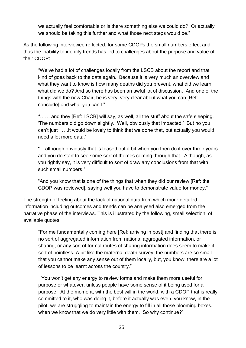we actually feel comfortable or is there something else we could do? Or actually we should be taking this further and what those next steps would be."

As the following interviewee reflected, for some CDOPs the small numbers effect and thus the inability to identify trends has led to challenges about the purpose and value of their CDOP:

"We've had a lot of challenges locally from the LSCB about the report and that kind of goes back to the data again. Because it is very much an overview and what they want to know is how many deaths did you prevent, what did we learn what did we do? And so there has been an awful lot of discussion. And one of the things with the new Chair, he is very, very clear about what you can [Ref: conclude] and what you can't."

"…… and they [Ref: LSCB] will say, as well, all the stuff about the safe sleeping. 'The numbers did go down slightly. Well, obviously that impacted.' But no you can't just ….it would be lovely to think that we done that, but actually you would need a lot more data."

"....although obviously that is teased out a bit when you then do it over three years and you do start to see some sort of themes coming through that. Although, as you rightly say, it is very difficult to sort of draw any conclusions from that with such small numbers."

"And you know that is one of the things that when they did our review [Ref: the CDOP was reviewed], saying well you have to demonstrate value for money."

The strength of feeling about the lack of national data from which more detailed information including outcomes and trends can be analysed also emerged from the narrative phase of the interviews. This is illustrated by the following, small selection, of available quotes:

"For me fundamentally coming here [Ref: arriving in post] and finding that there is no sort of aggregated information from national aggregated information, or sharing, or any sort of formal routes of sharing information does seem to make it sort of pointless. A bit like the maternal death survey, the numbers are so small that you cannot make any sense out of them locally, but, you know, there are a lot of lessons to be learnt across the country."

"You won't get any energy to review forms and make them more useful for purpose or whatever, unless people have some sense of it being used for a purpose. At the moment, with the best will in the world, with a CDOP that is really committed to it, who was doing it, before it actually was even, you know, in the pilot, we are struggling to maintain the energy to fill in all those blooming boxes, when we know that we do very little with them. So why continue?"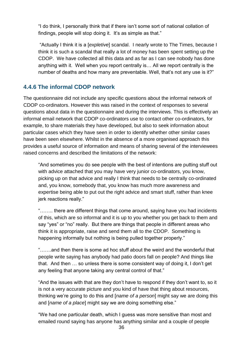"I do think, I personally think that if there isn't some sort of national collation of findings, people will stop doing it. It's as simple as that."

"Actually I think it is a [*expletive*] scandal. I nearly wrote to The Times, because I think it is such a scandal that really a lot of money has been spent setting up the CDOP. We have collected all this data and as far as I can see nobody has done anything with it. Well when you report centrally is… All we report centrally is the number of deaths and how many are preventable. Well, that's not any use is it?"

#### <span id="page-35-0"></span>**4.4.6 The informal CDOP network**

The questionnaire did not include any specific questions about the informal network of CDOP co-ordinators. However this was raised in the context of responses to several questions about data in the questionnaire and during the interviews. This is effectively an informal email network that CDOP co-ordinators use to contact other co-ordinators, for example, to share materials they have developed, but also to seek information about particular cases which they have seen in order to identify whether other similar cases have been seen elsewhere. Whilst in the absence of a more organised approach this provides a useful source of information and means of sharing several of the interviewees raised concerns and described the limitations of the network:

"And sometimes you do see people with the best of intentions are putting stuff out with advice attached that you may have very junior co-ordinators, you know, picking up on that advice and really I think that needs to be centrally co-ordinated and, you know, somebody that, you know has much more awareness and expertise being able to put out the right advice and smart stuff, rather than knee jerk reactions really."

"…….. there are different things that come around, saying have you had incidents of this, which are so informal and it is up to you whether you get back to them and say "yes" or "no" really. But there are things that people in different areas who think it is appropriate, raise and send them all to the CDOP. Something is happening informally but nothing is being pulled together properly."

"…….and then there is some ad hoc stuff about the weird and the wonderful that people write saying has anybody had patio doors fall on people? And things like that. And then … so unless there is some consistent way of doing it, I don't get any feeling that anyone taking any central control of that."

"And the issues with that are they don't have to respond if they don't want to, so it is not a very accurate picture and you kind of have that thing about resources, thinking we're going to do this and [*name of a person*] might say we are doing this and [*name of a place*] might say we are doing something else."

"We had one particular death, which I guess was more sensitive than most and emailed round saying has anyone has anything similar and a couple of people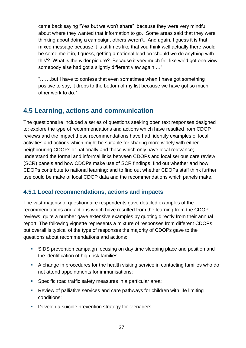came back saying "Yes but we won't share" because they were very mindful about where they wanted that information to go. Some areas said that they were thinking about doing a campaign, others weren't. And again, I guess it is that mixed message because it is at times like that you think well actually there would be some merit in, I guess, getting a national lead on 'should we do anything with this'? What is the wider picture? Because it very much felt like we'd got one view, somebody else had got a slightly different view again …"

"…….but I have to confess that even sometimes when I have got something positive to say, it drops to the bottom of my list because we have got so much other work to do."

## **4.5 Learning, actions and communication**

The questionnaire included a series of questions seeking open text responses designed to: explore the type of recommendations and actions which have resulted from CDOP reviews and the impact these recommendations have had; identify examples of local activities and actions which might be suitable for sharing more widely with either neighbouring CDOPs or nationally and those which only have local relevance; understand the formal and informal links between CDOPs and local serious care review (SCR) panels and how CDOPs make use of SCR findings; find out whether and how CDOPs contribute to national learning; and to find out whether CDOPs staff think further use could be make of local CDOP data and the recommendations which panels make.

### **4.5.1 Local recommendations, actions and impacts**

The vast majority of questionnaire respondents gave detailed examples of the recommendations and actions which have resulted from the learning from the CDOP reviews; quite a number gave extensive examples by quoting directly from their annual report. The following vignette represents a mixture of responses from different CDOPs but overall is typical of the type of responses the majority of CDOPs gave to the questions about recommendations and actions:

- SIDS prevention campaign focusing on day time sleeping place and position and the identification of high risk families;
- A change in procedures for the health visiting service in contacting families who do not attend appointments for immunisations;
- Specific road traffic safety measures in a particular area;
- Review of palliative services and care pathways for children with life limiting conditions;
- **Develop a suicide prevention strategy for teenagers;**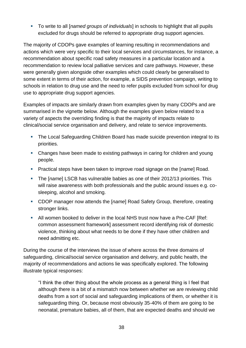To write to all [*named groups of individuals*] in schools to highlight that all pupils excluded for drugs should be referred to appropriate drug support agencies.

The majority of CDOPs gave examples of learning resulting in recommendations and actions which were very specific to their local services and circumstances, for instance, a recommendation about specific road safety measures in a particular location and a recommendation to review local palliative services and care pathways. However, these were generally given alongside other examples which could clearly be generalised to some extent in terms of their action, for example, a SIDS prevention campaign, writing to schools in relation to drug use and the need to refer pupils excluded from school for drug use to appropriate drug support agencies.

Examples of impacts are similarly drawn from examples given by many CDOPs and are summarised in the vignette below. Although the examples given below related to a variety of aspects the overriding finding is that the majority of impacts relate to clinical/social service organisation and delivery, and relate to service improvements.

- The Local Safeguarding Children Board has made suicide prevention integral to its priorities.
- Changes have been made to existing pathways in caring for children and young people.
- Practical steps have been taken to improve road signage on the [*name*] Road.
- The [*name*] LSCB has vulnerable babies as one of their 2012/13 priorities. This will raise awareness with both professionals and the public around issues e.g. cosleeping, alcohol and smoking.
- CDOP manager now attends the [*name*] Road Safety Group, therefore, creating stronger links.
- All women booked to deliver in the local NHS trust now have a Pre-CAF [Ref: common assessment framework] assessment record identifying risk of domestic violence, thinking about what needs to be done if they have other children and need admitting etc.

During the course of the interviews the issue of where across the three domains of safeguarding, clinical/social service organisation and delivery, and public health, the majority of recommendations and actions lie was specifically explored. The following illustrate typical responses:

"I think the other thing about the whole process as a general thing is I feel that although there is a bit of a mismatch now between whether we are reviewing child deaths from a sort of social and safeguarding implications of them, or whether it is safeguarding thing. Or, because most obviously 35-40% of them are going to be neonatal, premature babies, all of them, that are expected deaths and should we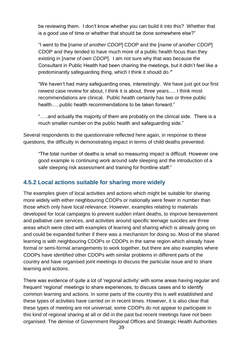be reviewing them. I don't know whether you can build it into this? Whether that is a good use of time or whether that should be done somewhere else?"

"I went to the [*name of another CDOP*] CDOP and the [*name of another CDOP*] CDOP and they tended to have much more of a public health focus than they existing in [*name of own CDOP*]. I am not sure why that was because the Consultant in Public Health had been chairing the meetings, but it didn't feel like a predominantly safeguarding thing, which I think it should do.**"**

"We haven't had many safeguarding ones, interestingly. We have just got our first newest case review for about, I think it is about, three years..... I think most recommendations are clinical. Public health certainly has two or three public health…..public health recommendations to be taken forward."

"…..and actually the majority of them are probably on the clinical side. There is a much smaller number on the public health and safeguarding side."

Several respondents to the questionnaire reflected here again, in response to these questions, the difficulty in demonstrating impact in terms of child deaths prevented:

"The total number of deaths is small so measuring impact is difficult. However one good example is continuing work around safe sleeping and the introduction of a safe sleeping risk assessment and training for frontline staff."

### **4.5.2 Local actions suitable for sharing more widely**

The examples given of local activities and actions which might be suitable for sharing more widely with either neighbouring CDOPs or nationally were fewer in number than those which only have local relevance. However, examples relating to materials developed for local campaigns to prevent sudden infant deaths, to improve bereavement and palliative care services, and activities around specific teenage suicides are three areas which were cited with examples of learning and sharing which is already going on and could be expanded further if there was a mechanism for doing so. Most of the shared learning is with neighbouring CDOPs or CDOPs in the same region which already have formal or semi-formal arrangements to work together, but there are also examples where CDOPs have identified other CDOPs with similar problems in different parts of the country and have organised joint meetings to discuss the particular issue and to share learning and actions.

There was evidence of quite a lot of 'regional activity' with some areas having regular and frequent 'regional' meetings to share experiences, to discuss cases and to identify common learning and actions. In some parts of the country this is well established and these types of activities have carried on in recent times. However, it is also clear that these types of meeting are not universal; some CDOPs do not appear to participate in this kind of regional sharing at all or did in the past but recent meetings have not been organised. The demise of Government Regional Offices and Strategic Health Authorities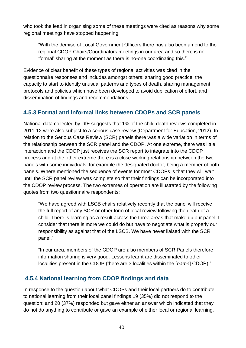who took the lead in organising some of these meetings were cited as reasons why some regional meetings have stopped happening:

"With the demise of Local Government Officers there has also been an end to the regional CDOP Chairs/Coordinators meetings in our area and so there is no 'formal' sharing at the moment as there is no-one coordinating this."

Evidence of clear benefit of these types of regional activities was cited in the questionnaire responses and includes amongst others: sharing good practice, the capacity to start to identify unusual patterns and types of death, sharing management protocols and policies which have been developed to avoid duplication of effort, and dissemination of findings and recommendations.

### **4.5.3 Formal and informal links between CDOPs and SCR panels**

National data collected by DfE suggests that 1% of the child death reviews completed in 2011-12 were also subject to a serious case review (Department for Education, 2012). In relation to the Serious Case Review (SCR) panels there was a wide variation in terms of the relationship between the SCR panel and the CDOP. At one extreme, there was little interaction and the CDOP just receives the SCR report to integrate into the CDOP process and at the other extreme there is a close working relationship between the two panels with some individuals, for example the designated doctor, being a member of both panels. Where mentioned the sequence of events for most CDOPs is that they will wait until the SCR panel review was complete so that their findings can be incorporated into the CDOP review process. The two extremes of operation are illustrated by the following quotes from two questionnaire respondents:

"We have agreed with LSCB chairs relatively recently that the panel will receive the full report of any SCR or other form of local review following the death of a child. There is learning as a result across the three areas that make up our panel. I consider that there is more we could do but have to negotiate what is properly our responsibility as against that of the LSCB. We have never liaised with the SCR panel."

"In our area, members of the CDOP are also members of SCR Panels therefore information sharing is very good. Lessons learnt are disseminated to other localities present in the CDOP (there are 3 localities within the [*name*] CDOP)."

### **4.5.4 National learning from CDOP findings and data**

In response to the question about what CDOPs and their local partners do to contribute to national learning from their local panel findings 19 (35%) did not respond to the question; and 20 (37%) responded but gave either an answer which indicated that they do not do anything to contribute or gave an example of either local or regional learning.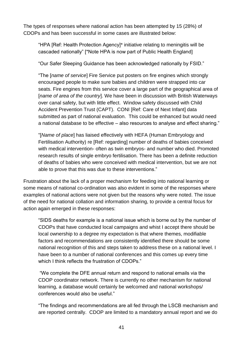The types of responses where national action has been attempted by 15 (28%) of CDOPs and has been successful in some cases are illustrated below:

"HPA [Ref: Health Protection Agency]\* initiative relating to meningitis will be cascaded nationally" [\*Note HPA is now part of Public Health England]

"Our Safer Sleeping Guidance has been acknowledged nationally by FSID."

"The [*name of service*] Fire Service put posters on fire engines which strongly encouraged people to make sure babies and children were strapped into car seats. Fire engines from this service cover a large part of the geographical area of [*name of area of the country*]. We have been in discussion with British Waterways over canal safety, but with little effect. Window safety discussed with Child Accident Prevention Trust (CAPT). CONI [Ref: Care of Next Infant] data submitted as part of national evaluation. This could be enhanced but would need a national database to be effective – also resources to analyse and effect sharing."

"[*Name of place*] has liaised effectively with HEFA (Human Embryology and Fertilisation Authority) re [Ref: regarding] number of deaths of babies conceived with medical intervention- often as twin embryos- and number who died. Promoted research results of single embryo fertilisation. There has been a definite reduction of deaths of babies who were conceived with medical intervention, but we are not able to prove that this was due to these interventions."

Frustration about the lack of a proper mechanism for feeding into national learning or some means of national co-ordination was also evident in some of the responses where examples of national actions were not given but the reasons why were noted. The issue of the need for national collation and information sharing, to provide a central focus for action again emerged in these responses:

"SIDS deaths for example is a national issue which is borne out by the number of CDOPs that have conducted local campaigns and whist I accept there should be local ownership to a degree my expectation is that where themes, modifiable factors and recommendations are consistently identified there should be some national recognition of this and steps taken to address these on a national level. I have been to a number of national conferences and this comes up every time which I think reflects the frustration of CDOPs."

"We complete the DFE annual return and respond to national emails via the CDOP coordinator network. There is currently no other mechanism for national learning, a database would certainly be welcomed and national workshops/ conferences would also be useful."

"The findings and recommendations are all fed through the LSCB mechanism and are reported centrally. CDOP are limited to a mandatory annual report and we do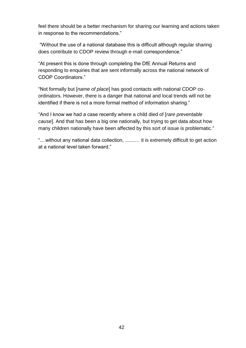feel there should be a better mechanism for sharing our learning and actions taken in response to the recommendations."

"Without the use of a national database this is difficult although regular sharing does contribute to CDOP review through e-mail correspondence."

"At present this is done through completing the DfE Annual Returns and responding to enquiries that are sent informally across the national network of CDOP Coordinators."

"Not formally but [*name of place*] has good contacts with national CDOP coordinators. However, there is a danger that national and local trends will not be identified if there is not a more formal method of information sharing."

"And I know we had a case recently where a child died of [*rare preventable cause*]. And that has been a big one nationally, but trying to get data about how many children nationally have been affected by this sort of issue is problematic."

"....without any national data collection, .......… it is extremely difficult to get action at a national level taken forward."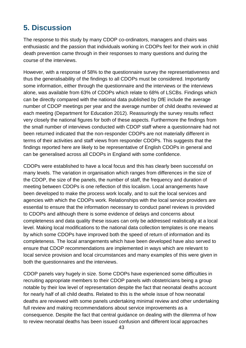## **5. Discussion**

The response to this study by many CDOP co-ordinators, managers and chairs was enthusiastic and the passion that individuals working in CDOPs feel for their work in child death prevention came through in their responses to many questions and during the course of the interviews.

However, with a response of 58% to the questionnaire survey the representativeness and thus the generalisability of the findings to all CDOPs must be considered. Importantly some information, either through the questionnaire and the interviews or the interviews alone, was available from 63% of CDOPs which relate to 68% of LSCBs. Findings which can be directly compared with the national data published by DfE include the average number of CDOP meetings per year and the average number of child deaths reviewed at each meeting (Department for Education 2012). Reassuringly the survey results reflect very closely the national figures for both of these aspects. Furthermore the findings from the small number of interviews conducted with CDOP staff where a questionnaire had not been returned indicated that the non-responder CDOPs are not materially different in terms of their activities and staff views from responder CDOPs. This suggests that the findings reported here are likely to be representative of English CDOPs in general and can be generalised across all CDOPs in England with some confidence.

CDOPs were established to have a local focus and this has clearly been successful on many levels. The variation in organisation which ranges from differences in the size of the CDOP, the size of the panels, the number of staff, the frequency and duration of meeting between CDOPs is one reflection of this localism. Local arrangements have been developed to make the process work locally, and to suit the local services and agencies with which the CDOPs work. Relationships with the local service providers are essential to ensure that the information necessary to conduct panel reviews is provided to CDOPs and although there is some evidence of delays and concerns about completeness and data quality these issues can only be addressed realistically at a local level. Making local modifications to the national data collection templates is one means by which some CDOPs have improved both the speed of return of information and its completeness. The local arrangements which have been developed have also served to ensure that CDOP recommendations are implemented in ways which are relevant to local service provision and local circumstances and many examples of this were given in both the questionnaires and the interviews.

CDOP panels vary hugely in size. Some CDOPs have experienced some difficulties in recruiting appropriate members to their CDOP panels with obstetricians being a group notable by their low level of representation despite the fact that neonatal deaths account for nearly half of all child deaths. Related to this is the whole issue of how neonatal deaths are reviewed with some panels undertaking minimal review and other undertaking full review and making recommendations about service improvements as a consequence. Despite the fact that central guidance on dealing with the dilemma of how to review neonatal deaths has been issued confusion and different local approaches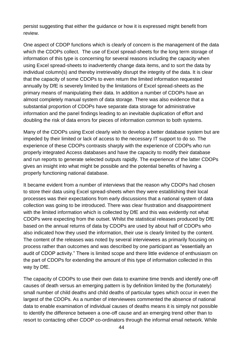persist suggesting that either the guidance or how it is expressed might benefit from review.

One aspect of CDOP functions which is clearly of concern is the management of the data which the CDOPs collect. The use of Excel spread-sheets for the long term storage of information of this type is concerning for several reasons including the capacity when using Excel spread-sheets to inadvertently change data items, and to sort the data by individual column(s) and thereby irretrievably disrupt the integrity of the data. It is clear that the capacity of some CDOPs to even return the limited information requested annually by DfE is severely limited by the limitations of Excel spread-sheets as the primary means of manipulating their data. In addition a number of CDOPs have an almost completely manual system of data storage. There was also evidence that a substantial proportion of CDOPs have separate data storage for administrative information and the panel findings leading to an inevitable duplication of effort and doubling the risk of data errors for pieces of information common to both systems.

Many of the CDOPs using Excel clearly wish to develop a better database system but are impeded by their limited or lack of access to the necessary IT support to do so. The experience of these CDOPs contrasts sharply with the experience of CDOPs who run properly integrated Access databases and have the capacity to modify their database and run reports to generate selected outputs rapidly. The experience of the latter CDOPs gives an insight into what might be possible and the potential benefits of having a properly functioning national database.

It became evident from a number of interviews that the reason why CDOPs had chosen to store their data using Excel spread-sheets when they were establishing their local processes was their expectations from early discussions that a national system of data collection was going to be introduced. There was clear frustration and disappointment with the limited information which is collected by DfE and this was evidently not what CDOPs were expecting from the outset. Whilst the statistical releases produced by DfE based on the annual returns of data by CDOPs are used by about half of CDOPs who also indicated how they used the information, their use is clearly limited by the content. The content of the releases was noted by several interviewees as primarily focusing on process rather than outcomes and was described by one participant as "essentially an audit of CDOP activity." There is limited scope and there little evidence of enthusiasm on the part of CDOPs for extending the amount of this type of information collected in this way by DfE.

The capacity of CDOPs to use their own data to examine time trends and identify one-off causes of death versus an emerging pattern is by definition limited by the (fortunately) small number of child deaths and child deaths of particular types which occur in even the largest of the CDOPs. As a number of interviewees commented the absence of national data to enable examination of individual causes of deaths means it is simply not possible to identify the difference between a one-off cause and an emerging trend other than to resort to contacting other CDOP co-ordinators through the informal email network. While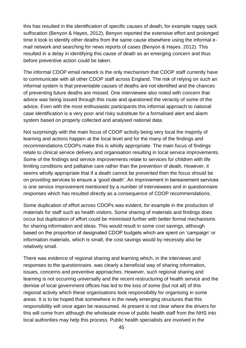this has resulted in the identification of specific causes of death, for example nappy sack suffocation (Benyon & Hayes, 2012), Benyon reported the extensive effort and prolonged time it took to identify other deaths from the same cause elsewhere using the informal email network and searching for news reports of cases (Benyon & Hayes. 2012). This resulted in a delay in identifying this cause of death as an emerging concern and thus before preventive action could be taken.

The informal CDOP email network is the only mechanism that CDOP staff currently have to communicate with all other CDOP staff across England. The risk of relying on such an informal system is that preventable causes of deaths are not identified and the chances of preventing future deaths are missed. One interviewee also noted with concern that advice was being issued through this route and questioned the veracity of some of the advice. Even with the most enthusiastic participants this informal approach to national case identification is a very poor and risky substitute for a formalised alert and alarm system based on properly collected and analysed national data.

Not surprisingly with the main focus of CDOP activity being very local the majority of learning and actions happen at the local level and for the many of the findings and recommendations CDOPs make this is wholly appropriate. The main focus of findings relate to clinical service delivery and organisation resulting in local service improvements. Some of the findings and service improvements relate to services for children with life limiting conditions and palliative care rather than the prevention of death. However, it seems wholly appropriate that if a death cannot be prevented then the focus should be on providing services to ensure a 'good death'. An improvement in bereavement services is one service improvement mentioned by a number of interviewees and in questionnaire responses which has resulted directly as a consequence of CDOP recommendations.

Some duplication of effort across CDOPs was evident, for example in the production of materials for staff such as health visitors. Some sharing of materials and findings does occur but duplication of effort could be minimised further with better formal mechanisms for sharing information and ideas. This would result in some cost savings, although based on the proportion of designated CDOP budgets which are spent on 'campaign' or information materials, which is small, the cost savings would by necessity also be relatively small.

There was evidence of regional sharing and learning which, in the interviews and responses to the questionnaire, was clearly a beneficial way of sharing information, issues, concerns and preventive approaches. However, such regional sharing and learning is not occurring universally and the recent restructuring of health service and the demise of local government offices has led to the loss of some (but not all) of this regional activity which these organisations took responsibility for organising in some areas. It is to be hoped that somewhere in the newly emerging structures that this responsibility will once again be reassumed. At present is not clear where the drivers for this will come from although the wholesale move of public health staff from the NHS into local authorities may help this process. Public health specialists are involved in the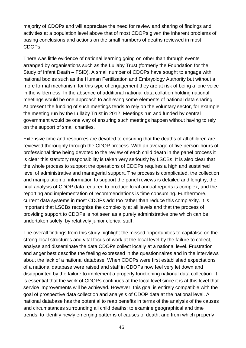majority of CDOPs and will appreciate the need for review and sharing of findings and activities at a population level above that of most CDOPs given the inherent problems of basing conclusions and actions on the small numbers of deaths reviewed in most CDOPs.

There was little evidence of national learning going on other than through events arranged by organisations such as the Lullaby Trust (formerly the Foundation for the Study of Infant Death – FSID). A small number of CDOPs have sought to engage with national bodies such as the Human Fertilization and Embryology Authority but without a more formal mechanism for this type of engagement they are at risk of being a lone voice in the wilderness. In the absence of additional national data collation holding national meetings would be one approach to achieving some elements of national data sharing. At present the funding of such meetings tends to rely on the voluntary sector, for example the meeting run by the Lullaby Trust in 2012. Meetings run and funded by central government would be one way of ensuring such meetings happen without having to rely on the support of small charities.

Extensive time and resources are devoted to ensuring that the deaths of all children are reviewed thoroughly through the CDOP process. With an average of five person-hours of professional time being devoted to the review of each child death in the panel process it is clear this statutory responsibility is taken very seriously by LSCBs. It is also clear that the whole process to support the operations of CDOPs requires a high and sustained level of administrative and managerial support. The process is complicated, the collection and manipulation of information to support the panel reviews is detailed and lengthy, the final analysis of CDOP data required to produce local annual reports is complex, and the reporting and implementation of recommendations is time consuming. Furthermore, current data systems in most CDOPs add too rather than reduce this complexity. It is important that LSCBs recognise the complexity at all levels and that the process of providing support to CDOPs is not seen as a purely administrative one which can be undertaken solely by relatively junior clerical staff.

The overall findings from this study highlight the missed opportunities to capitalise on the strong local structures and vital focus of work at the local level by the failure to collect, analyse and disseminate the data CDOPs collect locally at a national level. Frustration and anger best describe the feeling expressed in the questionnaires and in the interviews about the lack of a national database. When CDOPs were first established expectations of a national database were raised and staff in CDOPs now feel very let down and disappointed by the failure to implement a properly functioning national data collection. It is essential that the work of CDOPs continues at the local level since it is at this level that service improvements will be achieved. However, this goal is entirely compatible with the goal of prospective data collection and analysis of CDOP data at the national level. A national database has the potential to reap benefits in terms of the analysis of the causes and circumstances surrounding all child deaths; to examine geographical and time trends; to identify newly emerging patterns of causes of death; and from which properly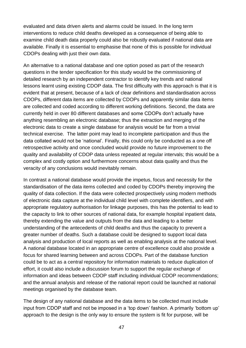evaluated and data driven alerts and alarms could be issued. In the long term interventions to reduce child deaths developed as a consequence of being able to examine child death data properly could also be robustly evaluated if national data are available. Finally it is essential to emphasise that none of this is possible for individual CDOPs dealing with just their own data.

An alternative to a national database and one option posed as part of the research questions in the tender specification for this study would be the commissioning of detailed research by an independent contractor to identify key trends and national lessons learnt using existing CDOP data. The first difficulty with this approach is that it is evident that at present, because of a lack of clear definitions and standardisation across CDOPs, different data items are collected by CDOPs and apparently similar data items are collected and coded according to different working definitions. Second, the data are currently held in over 80 different databases and some CDOPs don't actually have anything resembling an electronic database; thus the extraction and merging of the electronic data to create a single database for analysis would be far from a trivial technical exercise. The latter point may lead to incomplete participation and thus the data collated would not be 'national'. Finally, this could only be conducted as a one off retrospective activity and once concluded would provide no future improvement to the quality and availability of CDOP data unless repeated at regular intervals; this would be a complex and costly option and furthermore concerns about data quality and thus the veracity of any conclusions would inevitably remain.

In contrast a national database would provide the impetus, focus and necessity for the standardisation of the data items collected and coded by CDOPs thereby improving the quality of data collection. If the data were collected prospectively using modern methods of electronic data capture at the individual child level with complete identifiers, and with appropriate regulatory authorisation for linkage purposes, this has the potential to lead to the capacity to link to other sources of national data, for example hospital inpatient data, thereby extending the value and outputs from the data and leading to a better understanding of the antecedents of child deaths and thus the capacity to prevent a greater number of deaths. Such a database could be designed to support local data analysis and production of local reports as well as enabling analysis at the national level. A national database located in an appropriate centre of excellence could also provide a focus for shared learning between and across CDOPs. Part of the database function could be to act as a central repository for information materials to reduce duplication of effort, it could also include a discussion forum to support the regular exchange of information and ideas between CDOP staff including individual CDOP recommendations; and the annual analysis and release of the national report could be launched at national meetings organised by the database team.

The design of any national database and the data items to be collected must include input from CDOP staff and not be imposed in a 'top down' fashion. A primarily 'bottom up' approach to the design is the only way to ensure the system is fit for purpose, will be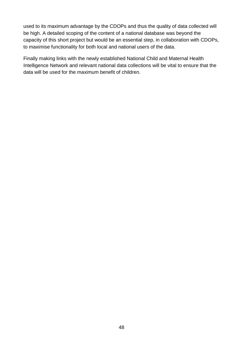used to its maximum advantage by the CDOPs and thus the quality of data collected will be high. A detailed scoping of the content of a national database was beyond the capacity of this short project but would be an essential step, in collaboration with CDOPs, to maximise functionality for both local and national users of the data.

Finally making links with the newly established National Child and Maternal Health Intelligence Network and relevant national data collections will be vital to ensure that the data will be used for the maximum benefit of children.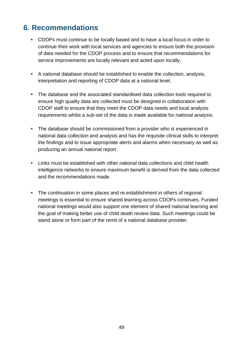## **6. Recommendations**

- CDOPs must continue to be locally based and to have a local focus in order to continue their work with local services and agencies to ensure both the provision of data needed for the CDOP process and to ensure that recommendations for service improvements are locally relevant and acted upon locally.
- A national database should be established to enable the collection, analysis, interpretation and reporting of CDOP data at a national level.
- The database and the associated standardised data collection tools required to ensure high quality data are collected must be designed in collaboration with CDOP staff to ensure that they meet the CDOP data needs and local analysis requirements whilst a sub-set of the data is made available for national analysis.
- The database should be commissioned from a provider who is experienced in national data collection and analysis and has the requisite clinical skills to interpret the findings and to issue appropriate alerts and alarms when necessary as well as producing an annual national report.
- Links must be established with other national data collections and child health intelligence networks to ensure maximum benefit is derived from the data collected and the recommendations made.
- The continuation in some places and re-establishment in others of regional meetings is essential to ensure shared learning across CDOPs continues. Funded national meetings would also support one element of shared national learning and the goal of making better use of child death review data. Such meetings could be stand alone or form part of the remit of a national database provider.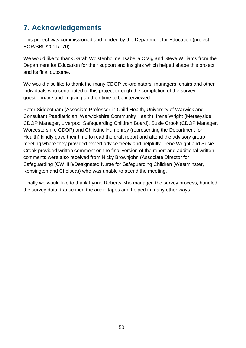# **7. Acknowledgements**

This project was commissioned and funded by the Department for Education (project EOR/SBU/2011/070).

We would like to thank Sarah Wolstenholme, Isabella Craig and Steve Williams from the Department for Education for their support and insights which helped shape this project and its final outcome.

We would also like to thank the many CDOP co-ordinators, managers, chairs and other individuals who contributed to this project through the completion of the survey questionnaire and in giving up their time to be interviewed.

Peter Sidebotham (Associate Professor in Child Health, University of Warwick and Consultant Paediatrician, Warwickshire Community Health), Irene Wright (Merseyside CDOP Manager, Liverpool Safeguarding Children Board), Susie Crook (CDOP Manager, Worcestershire CDOP) and Christine Humphrey (representing the Department for Health) kindly gave their time to read the draft report and attend the advisory group meeting where they provided expert advice freely and helpfully. Irene Wright and Susie Crook provided written comment on the final version of the report and additional written comments were also received from Nicky Brownjohn (Associate Director for Safeguarding (CWHH)/Designated Nurse for Safeguarding Children (Westminster, Kensington and Chelsea)) who was unable to attend the meeting.

Finally we would like to thank Lynne Roberts who managed the survey process, handled the survey data, transcribed the audio tapes and helped in many other ways.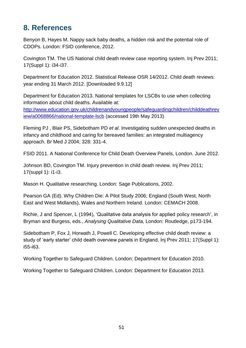## **8. References**

Benyon B, Hayes M. Nappy sack baby deaths, a hidden risk and the potential role of CDOPs. London: FSID conference, 2012.

Covington TM. The US National child death review case reporting system. Inj Prev 2011; 17(Suppl 1): i34-i37.

Department for Education 2012. Statistical Release OSR 14/2012. Child death reviews: year ending 31 March 2012. [Downloaded 9.9.12]

Department for Education 2013. National templates for LSCBs to use when collecting information about child deaths. Available at: [http://www.education.gov.uk/childrenandyoungpeople/safeguardingchildren/childdeathrev](http://www.education.gov.uk/childrenandyoungpeople/safeguardingchildren/childdeathreview/a0068866/national-template-lscb) [iew/a0068866/national-template-lscb](http://www.education.gov.uk/childrenandyoungpeople/safeguardingchildren/childdeathreview/a0068866/national-template-lscb) (accessed 19th May 2013)

Fleming PJ , Blair PS, Sidebotham PD *et al*. Investigating sudden unexpected deaths in infancy and childhood and caring for bereaved families: an integrated multiagency approach. Br Med J 2004; 328: 331-4.

FSID 2011. A National Conference for Child Death Overview Panels, London. June 2012.

Johnson BD, Covington TM. Injury prevention in child death review. Inj Prev 2011; 17(suppl 1): i1-i3.

Mason H. Qualitative researching. London: Sage Publications, 2002.

Pearson GA (Ed). Why Children Die: A Pilot Study 2006; England (South West, North East and West Midlands), Wales and Northern Ireland. London: CEMACH 2008.

Richie, J and Spencer, L (1994), 'Qualitative data analysis for applied policy research', in Bryman and Burgess, eds., *Analysing Qualitative Data,* London: Routledge, p173-194.

Sidebotham P, Fox J, Horwath J, Powell C. Developing effective child death review: a study of 'early starter' child death overview panels in England. Inj Prev 2011; 17(Suppl 1): i55-i63.

Working Together to Safeguard Children. London: Department for Education 2010.

Working Together to Safeguard Children. London: Department for Education 2013.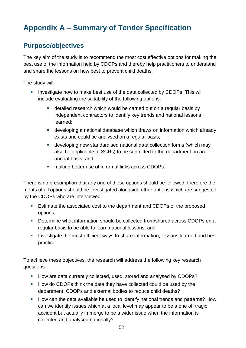# **Appendix A – Summary of Tender Specification**

## **Purpose/objectives**

The key aim of the study is to recommend the most cost effective options for making the best use of the information held by CDOPs and thereby help practitioners to understand and share the lessons on how best to prevent child deaths.

The study will:

- **Investigate how to make best use of the data collected by CDOPs. This will** include evaluating the suitability of the following options:
	- detailed research which would be carried out on a regular basis by independent contractors to identify key trends and national lessons learned;
	- developing a national database which draws on information which already exists and could be analysed on a regular basis;
	- developing new standardised national data collection forms (which may also be applicable to SCRs) to be submitted to the department on an annual basis; and
	- **EXECT** making better use of informal links across CDOPs.

There is no presumption that any one of these options should be followed, therefore the merits of all options should be investigated alongside other options which are suggested by the CDOPs who are interviewed.

- **Estimate the associated cost to the department and CDOPs of the proposed** options;
- Determine what information should be collected from/shared across CDOPs on a regular basis to be able to learn national lessons; and
- **Investigate the most efficient ways to share information, lessons learned and best** practice.

To achieve these objectives, the research will address the following key research questions:

- How are data currently collected, used, stored and analysed by CDOPs?
- How do CDOPs think the data they have collected could be used by the department, CDOPs and external bodies to reduce child deaths?
- **How can the data available be used to identify national trends and patterns? How** can we identify issues which at a local level may appear to be a one off tragic accident but actually immerge to be a wider issue when the information is collected and analysed nationally?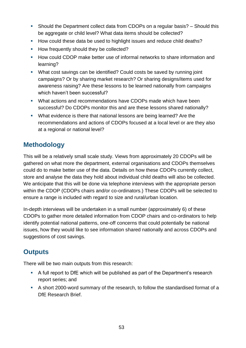- Should the Department collect data from CDOPs on a regular basis? Should this be aggregate or child level? What data items should be collected?
- How could these data be used to highlight issues and reduce child deaths?
- How frequently should they be collected?
- How could CDOP make better use of informal networks to share information and learning?
- What cost savings can be identified? Could costs be saved by running joint campaigns? Or by sharing market research? Or sharing designs/items used for awareness raising? Are these lessons to be learned nationally from campaigns which haven't been successful?
- What actions and recommendations have CDOPs made which have been successful? Do CDOPs monitor this and are these lessons shared nationally?
- What evidence is there that national lessons are being learned? Are the recommendations and actions of CDOPs focused at a local level or are they also at a regional or national level?

## **Methodology**

This will be a relatively small scale study. Views from approximately 20 CDOPs will be gathered on what more the department, external organisations and CDOPs themselves could do to make better use of the data. Details on how these CDOPs currently collect, store and analyse the data they hold about individual child deaths will also be collected. We anticipate that this will be done via telephone interviews with the appropriate person within the CDOP (CDOPs chairs and/or co-ordinators.) These CDOPs will be selected to ensure a range is included with regard to size and rural/urban location.

In-depth interviews will be undertaken in a small number (approximately 6) of these CDOPs to gather more detailed information from CDOP chairs and co-ordinators to help identify potential national patterns, one-off concerns that could potentially be national issues, how they would like to see information shared nationally and across CDOPs and suggestions of cost savings.

## **Outputs**

There will be two main outputs from this research:

- A full report to DfE which will be published as part of the Department's research report series; and
- A short 2000-word summary of the research, to follow the standardised format of a DfE Research Brief.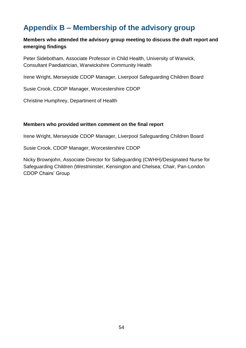## **Appendix B – Membership of the advisory group**

#### **Members who attended the advisory group meeting to discuss the draft report and emerging findings**

Peter Sidebotham, Associate Professor in Child Health, University of Warwick, Consultant Paediatrician, Warwickshire Community Health

Irene Wright, Merseyside CDOP Manager, Liverpool Safeguarding Children Board

Susie Crook, CDOP Manager, Worcestershire CDOP

Christine Humphrey, Department of Health

#### **Members who provided written comment on the final report**

Irene Wright, Merseyside CDOP Manager, Liverpool Safeguarding Children Board

Susie Crook, CDOP Manager, Worcestershire CDOP

Nicky Brownjohn, Associate Director for Safeguarding (CWHH)/Designated Nurse for Safeguarding Children (Westminster, Kensington and Chelsea; Chair, Pan-London CDOP Chairs' Group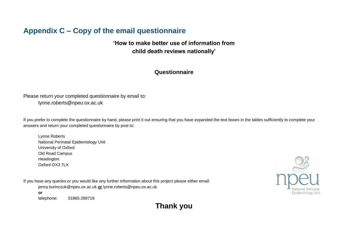## **Appendix C – Copy of the email questionnaire**

### **'How to make better use of information from child death reviews nationally'**

#### **Questionnaire**

Please return your completed questionnaire by email to: lynne.roberts@npeu.ox.ac.uk

If you prefer to complete the questionnaire by hand, please print it out ensuring that you have expanded the text boxes in the tables sufficiently to complete your answers and return your completed questionnaire by post to:

Lynne Roberts National Perinatal Epidemiology Unit University of Oxford Old Road Campus Headington Oxford OX3 7LX

If you have any queries or you would like any further information about this project please either email: jenny.kurinczuk@npeu.ox.ac.uk **or** lynne.roberts@npeu.ox.ac.uk **or** 



telephone: 01865 289719

**Thank you**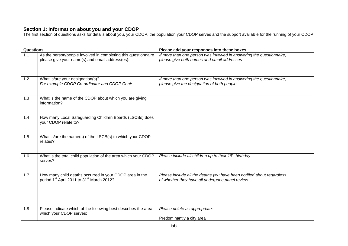#### **Section 1: Information about you and your CDOP**

The first section of questions asks for details about you, your CDOP, the population your CDOP serves and the support available for the running of your CDOP

| Questions |                                                                                                                              | Please add your responses into these boxes                                                                               |  |
|-----------|------------------------------------------------------------------------------------------------------------------------------|--------------------------------------------------------------------------------------------------------------------------|--|
| 1.1       | As the person/people involved in completing this questionnaire<br>please give your name(s) and email address(es):            | If more than one person was involved in answering the questionnaire,<br>please give both names and email addresses       |  |
| 1.2       | What is/are your designation(s)?<br>For example CDOP Co-ordinator and CDOP Chair                                             | If more than one person was involved in answering the questionnaire,<br>please give the designation of both people       |  |
| 1.3       | What is the name of the CDOP about which you are giving<br>information?                                                      |                                                                                                                          |  |
| 1.4       | How many Local Safeguarding Children Boards (LSCBs) does<br>your CDOP relate to?                                             |                                                                                                                          |  |
| 1.5       | What is/are the name(s) of the LSCB(s) to which your CDOP<br>relates?                                                        |                                                                                                                          |  |
| 1.6       | What is the total child population of the area which your CDOP<br>serves?                                                    | Please include all children up to their $18th$ birthday                                                                  |  |
| 1.7       | How many child deaths occurred in your CDOP area in the<br>period 1 <sup>st</sup> April 2011 to 31 <sup>st</sup> March 2012? | Please include all the deaths you have been notified about regardless<br>of whether they have all undergone panel review |  |
| 1.8       | Please indicate which of the following best describes the area<br>which your CDOP serves:                                    | Please delete as appropriate:<br>Predominantly a city area                                                               |  |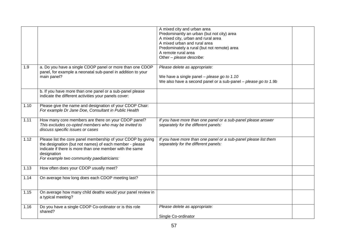|      |                                                                                                                                                                                                                                                | A mixed city and urban area<br>Predominantly an urban (but not city) area<br>A mixed city, urban and rural area<br>A mixed urban and rural area<br>Predominately a rural (but not remote) area<br>A remote rural area<br>Other - please describe: |  |
|------|------------------------------------------------------------------------------------------------------------------------------------------------------------------------------------------------------------------------------------------------|---------------------------------------------------------------------------------------------------------------------------------------------------------------------------------------------------------------------------------------------------|--|
| 1.9  | a. Do you have a single CDOP panel or more than one CDOP<br>panel, for example a neonatal sub-panel in addition to your<br>main panel?                                                                                                         | Please delete as appropriate:<br>We have a single panel - please go to 1.10<br>We also have a second panel or a sub-panel - please go to 1.9b                                                                                                     |  |
|      | b. If you have more than one panel or a sub-panel please<br>indicate the different activities your panels cover:                                                                                                                               |                                                                                                                                                                                                                                                   |  |
| 1.10 | Please give the name and designation of your CDOP Chair:<br>For example Dr Jane Doe, Consultant in Public Health                                                                                                                               |                                                                                                                                                                                                                                                   |  |
| 1.11 | How many core members are there on your CDOP panel?<br>This excludes co-opted members who may be invited to<br>discuss specific issues or cases                                                                                                | If you have more than one panel or a sub-panel please answer<br>separately for the different panels:                                                                                                                                              |  |
| 1.12 | Please list the core panel membership of your CDOP by giving<br>the designation (but not names) of each member - please<br>indicate if there is more than one member with the same<br>designation<br>For example two community paediatricians: | If you have more than one panel or a sub-panel please list them<br>separately for the different panels:                                                                                                                                           |  |
| 1.13 | How often does your CDOP usually meet?                                                                                                                                                                                                         |                                                                                                                                                                                                                                                   |  |
| 1.14 | On average how long does each CDOP meeting last?                                                                                                                                                                                               |                                                                                                                                                                                                                                                   |  |
| 1.15 | On average how many child deaths would your panel review in<br>a typical meeting?                                                                                                                                                              |                                                                                                                                                                                                                                                   |  |
| 1.16 | Do you have a single CDOP Co-ordinator or is this role<br>shared?                                                                                                                                                                              | Please delete as appropriate:<br>Single Co-ordinator                                                                                                                                                                                              |  |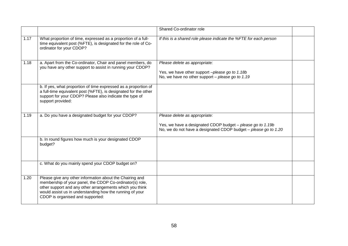|      |                                                                                                                                                                                                                                                                                  | Shared Co-ordinator role                                                                                                                                       |  |
|------|----------------------------------------------------------------------------------------------------------------------------------------------------------------------------------------------------------------------------------------------------------------------------------|----------------------------------------------------------------------------------------------------------------------------------------------------------------|--|
| 1.17 | What proportion of time, expressed as a proportion of a full-<br>time equivalent post (%FTE), is designated for the role of Co-<br>ordinator for your CDOP?                                                                                                                      | If this is a shared role please indicate the %FTE for each person                                                                                              |  |
| 1.18 | a. Apart from the Co-ordinator, Chair and panel members, do<br>you have any other support to assist in running your CDOP?                                                                                                                                                        | Please delete as appropriate:<br>Yes, we have other support -please go to 1.18b<br>No, we have no other support $-$ please go to 1.19                          |  |
|      | b. If yes, what proportion of time expressed as a proportion of<br>a full-time equivalent post (%FTE), is designated for the other<br>support for your CDOP? Please also indicate the type of<br>support provided:                                                               |                                                                                                                                                                |  |
| 1.19 | a. Do you have a designated budget for your CDOP?                                                                                                                                                                                                                                | Please delete as appropriate:<br>Yes, we have a designated CDOP budget - please go to 1.19b<br>No, we do not have a designated CDOP budget – please go to 1.20 |  |
|      | b. In round figures how much is your designated CDOP<br>budget?                                                                                                                                                                                                                  |                                                                                                                                                                |  |
|      | c. What do you mainly spend your CDOP budget on?                                                                                                                                                                                                                                 |                                                                                                                                                                |  |
| 1.20 | Please give any other information about the Chairing and<br>membership of your panel, the CDOP Co-ordinator(s) role,<br>other support and any other arrangements which you think<br>would assist us in understanding how the running of your<br>CDOP is organised and supported: |                                                                                                                                                                |  |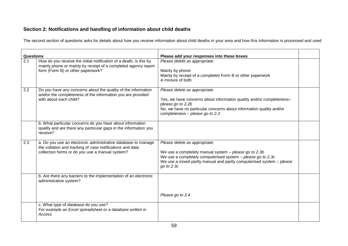### **Section 2: Notifications and handling of information about child deaths**

The second section of questions asks for details about how you receive information about child deaths in your area and how this information is processed and used

| <b>Questions</b> |                                                                                                                                                                               | Please add your responses into these boxes                                                                                                                                                                                                  |  |
|------------------|-------------------------------------------------------------------------------------------------------------------------------------------------------------------------------|---------------------------------------------------------------------------------------------------------------------------------------------------------------------------------------------------------------------------------------------|--|
| 2.1              | How do you receive the initial notification of a death, is this by<br>mainly phone or mainly by receipt of a completed agency report<br>form (Form B) or other paperwork?     | Please delete as appropriate:<br>Mainly by phone<br>Mainly by receipt of a completed Form B or other paperwork<br>A mixture of both                                                                                                         |  |
| 2.2              | Do you have any concerns about the quality of the information<br>and/or the completeness of the information you are provided<br>with about each child?                        | Please delete as appropriate:<br>Yes, we have concerns about information quality and/or completeness-<br>please go to 2.2b<br>No, we have no particular concerns about information quality and/or<br>completeness - please go to 2.3        |  |
|                  | b. What particular concerns do you have about information<br>quality and are there any particular gaps in the information you<br>receive?                                     |                                                                                                                                                                                                                                             |  |
| 2.3              | a. Do you use an electronic administrative database to manage<br>the collation and tracking of case notifications and data<br>collection forms or do you use a manual system? | Please delete as appropriate:<br>We use a completely manual system - please go to 2.3b<br>We use a completely computerised system - please go to 2.3c<br>We use a mixed partly manual and partly computerised system - please<br>go to 2.3c |  |
|                  | b. Are there any barriers to the implementation of an electronic<br>administrative system?                                                                                    | Please go to 2.4                                                                                                                                                                                                                            |  |
|                  | c. What type of database do you use?<br>For example an Excel spreadsheet or a database written in<br>Access                                                                   |                                                                                                                                                                                                                                             |  |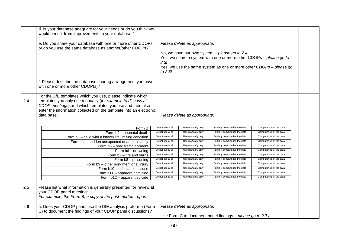|     | d. Is your database adequate for your needs or do you think you<br>would benefit from improvements to your database?                                                                                                                                                     |                                        |                                        |                                                                                                                                                                                             |                                                      |  |
|-----|--------------------------------------------------------------------------------------------------------------------------------------------------------------------------------------------------------------------------------------------------------------------------|----------------------------------------|----------------------------------------|---------------------------------------------------------------------------------------------------------------------------------------------------------------------------------------------|------------------------------------------------------|--|
|     | e. Do you share your database with one or more other CDOPs<br>or do you use the same database as another/other CDOPs?                                                                                                                                                    | 2.3f<br>to $2.3f$                      | Please delete as appropriate:          | No, we have our own system $-$ please go to 2.4<br>Yes, we share a system with one or more other CDOPs - please go to<br>Yes, we use the same system as one or more other CDOPs - please go |                                                      |  |
|     | f. Please describe the database sharing arrangement you have<br>with one or more other CDOP(s)?                                                                                                                                                                          |                                        |                                        |                                                                                                                                                                                             |                                                      |  |
| 2.4 | For the DfE templates which you use, please indicate which<br>templates you only use manually (for example to discuss at<br>CDOP meetings) and which templates you use and then also<br>enter the information collected on the template into an electronic<br>data base: |                                        | Please delete as appropriate:          |                                                                                                                                                                                             |                                                      |  |
|     |                                                                                                                                                                                                                                                                          |                                        |                                        |                                                                                                                                                                                             |                                                      |  |
|     | Form B                                                                                                                                                                                                                                                                   | Do not use at all                      | Use manually only                      | Partially computerise the data                                                                                                                                                              | Computerise all the data                             |  |
|     | Form b2 - neonatal death                                                                                                                                                                                                                                                 | Do not use at all                      | Use manually only                      | Partially computerise the data                                                                                                                                                              | Computerise all the data                             |  |
|     | Form b3 - child with a known life limiting condition                                                                                                                                                                                                                     | Do not use at all<br>Do not use at all | Use manually only<br>Use manually only | Partially computerise the data<br>Partially computerise the data                                                                                                                            | Computerise all the data<br>Computerise all the data |  |
|     | Form b4 - sudden unexpected death in infancy                                                                                                                                                                                                                             | Do not use at al                       | Use manually only                      | Partially computerise the data                                                                                                                                                              | Computerise all the data                             |  |
|     | Form b5 - road traffic accident                                                                                                                                                                                                                                          | Do not use at all                      | Use manually only                      | Partially computerise the data                                                                                                                                                              | Computerise all the data                             |  |
|     | Form b6 - drowning                                                                                                                                                                                                                                                       | Do not use at all                      | Use manually only                      | Partially computerise the data                                                                                                                                                              | Computerise all the data                             |  |
|     | Form b7 - fire and burns<br>Form b8 - poisoning                                                                                                                                                                                                                          | Do not use at all                      | Use manually only                      | Partially computerise the data                                                                                                                                                              | Computerise all the data                             |  |
|     | Form b9 - other non-intentional injury                                                                                                                                                                                                                                   | Do not use at all                      | Use manually only                      | Partially computerise the data                                                                                                                                                              | Computerise all the data                             |  |
|     | Form b10 - substance misuse                                                                                                                                                                                                                                              | Do not use at all                      | Use manually only                      | Partially computerise the data                                                                                                                                                              | Computerise all the data                             |  |
|     | Form b11 - apparent homicide                                                                                                                                                                                                                                             | Do not use at all                      | Use manually only                      | Partially computerise the data                                                                                                                                                              | Computerise all the data                             |  |
|     | Form b12 - apparent suicide                                                                                                                                                                                                                                              | Do not use at all                      | Use manually only                      | Partially computerise the data                                                                                                                                                              | Computerise all the data                             |  |
|     |                                                                                                                                                                                                                                                                          |                                        |                                        |                                                                                                                                                                                             |                                                      |  |
| 2.5 | Please list what information is generally presented for review at<br>your CDOP panel meeting:<br>For example, the Form B, a copy of the post-mortem report                                                                                                               |                                        |                                        |                                                                                                                                                                                             |                                                      |  |
| 2.6 | a. Does your CDOP panel use the DfE analysis proforma (Form<br>C) to document the findings of your CDOP panel discussions?                                                                                                                                               |                                        | Please delete as appropriate:          |                                                                                                                                                                                             |                                                      |  |
|     |                                                                                                                                                                                                                                                                          |                                        |                                        | Use Form C to document panel findings - please go to 2.7.c                                                                                                                                  |                                                      |  |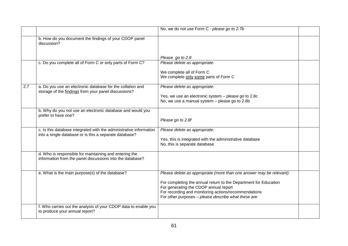|     |                                                                                                                              | No, we do not use Form C - please go to 2.7b                                                                                                                      |  |
|-----|------------------------------------------------------------------------------------------------------------------------------|-------------------------------------------------------------------------------------------------------------------------------------------------------------------|--|
|     | b. How do you document the findings of your CDOP panel<br>discussion?                                                        |                                                                                                                                                                   |  |
|     |                                                                                                                              | Please go to 2.8                                                                                                                                                  |  |
|     | c. Do you complete all of Form C or only parts of Form C?                                                                    | Please delete as appropriate:                                                                                                                                     |  |
|     |                                                                                                                              | We complete all of Form C<br>We complete only some parts of Form C                                                                                                |  |
| 2.7 | a. Do you use an electronic database for the collation and<br>storage of the findings from your panel discussions?           | Please delete as appropriate:                                                                                                                                     |  |
|     |                                                                                                                              | Yes, we use an electronic system - please go to 2.8c<br>No, we use a manual system - please go to 2.8b                                                            |  |
|     | b. Why do you not use an electronic database and would you<br>prefer to have one?                                            | Please go to 2.8f                                                                                                                                                 |  |
|     | c. Is this database integrated with the administrative information<br>into a single database or is this a separate database? | Please delete as appropriate:                                                                                                                                     |  |
|     |                                                                                                                              | Yes, this is integrated with the administrative database<br>No, this is separate database                                                                         |  |
|     | d. Who is responsible for maintaining and entering the<br>information from the panel discussions into the database?          |                                                                                                                                                                   |  |
|     | e. What is the main purpose(s) of the database?                                                                              | Please delete as appropriate (more than one answer may be relevant):                                                                                              |  |
|     |                                                                                                                              | For completing the annual return to the Department for Education<br>For generating the CDOP annual report<br>For recording and monitoring actions/recommendations |  |
|     |                                                                                                                              | For other purposes - please describe what these are:                                                                                                              |  |
|     | f. Who carries out the analysis of your CDOP data to enable you<br>to produce your annual report?                            |                                                                                                                                                                   |  |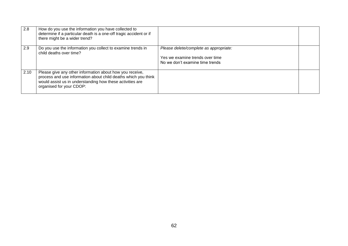| 2.8  | How do you use the information you have collected to<br>determine if a particular death is a one-off tragic accident or if<br>there might be a wider trend?                                                         |                                                                                                              |  |
|------|---------------------------------------------------------------------------------------------------------------------------------------------------------------------------------------------------------------------|--------------------------------------------------------------------------------------------------------------|--|
| 2.9  | Do you use the information you collect to examine trends in<br>child deaths over time?                                                                                                                              | Please delete/complete as appropriate:<br>Yes we examine trends over time<br>No we don't examine time trends |  |
| 2.10 | Please give any other information about how you receive,<br>process and use information about child deaths which you think<br>would assist us in understanding how these activities are<br>organised for your CDOP: |                                                                                                              |  |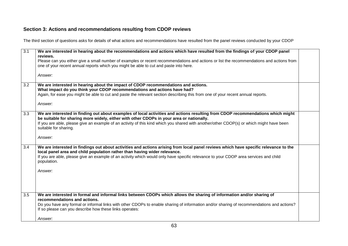### **Section 3: Actions and recommendations resulting from CDOP reviews**

The third section of questions asks for details of what actions and recommendations have resulted from the panel reviews conducted by your CDOP

| $\overline{3.1}$ | We are interested in hearing about the recommendations and actions which have resulted from the findings of your CDOP panel<br>reviews.                                                                                                                                                                                                                                  |  |
|------------------|--------------------------------------------------------------------------------------------------------------------------------------------------------------------------------------------------------------------------------------------------------------------------------------------------------------------------------------------------------------------------|--|
|                  | Please can you either give a small number of examples or recent recommendations and actions or list the recommendations and actions from<br>one of your recent annual reports which you might be able to cut and paste into here.                                                                                                                                        |  |
|                  |                                                                                                                                                                                                                                                                                                                                                                          |  |
|                  | Answer:                                                                                                                                                                                                                                                                                                                                                                  |  |
| 3.2              | We are interested in hearing about the impact of CDOP recommendations and actions.<br>What impact do you think your CDOP recommendations and actions have had?                                                                                                                                                                                                           |  |
|                  | Again, for ease you might be able to cut and paste the relevant section describing this from one of your recent annual reports.                                                                                                                                                                                                                                          |  |
|                  | Answer:                                                                                                                                                                                                                                                                                                                                                                  |  |
| 3.3              | We are interested in finding out about examples of local activities and actions resulting from CDOP recommendations which might<br>be suitable for sharing more widely, either with other CDOPs in your area or nationally.<br>If you are able, please give an example of an activity of this kind which you shared with another/other CDOP(s) or which might have been  |  |
|                  | suitable for sharing.                                                                                                                                                                                                                                                                                                                                                    |  |
|                  | Answer:                                                                                                                                                                                                                                                                                                                                                                  |  |
| 3.4              | We are interested in findings out about activities and actions arising from local panel reviews which have specific relevance to the<br>local panel area and child population rather than having wider relevance.<br>If you are able, please give an example of an activity which would only have specific relevance to your CDOP area services and child<br>population. |  |
|                  | Answer:                                                                                                                                                                                                                                                                                                                                                                  |  |
| 3.5              | We are interested in formal and informal links between CDOPs which allows the sharing of information and/or sharing of<br>recommendations and actions.                                                                                                                                                                                                                   |  |
|                  | Do you have any formal or informal links with other CDOPs to enable sharing of information and/or sharing of recommendations and actions?<br>If so please can you describe how these links operates:                                                                                                                                                                     |  |
|                  | Answer:                                                                                                                                                                                                                                                                                                                                                                  |  |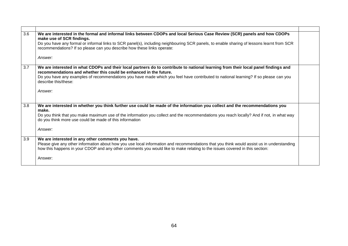| 3.6 | We are interested in the formal and informal links between CDOPs and local Serious Case Review (SCR) panels and how CDOPs<br>make use of SCR findings.                                                                                                                   |  |
|-----|--------------------------------------------------------------------------------------------------------------------------------------------------------------------------------------------------------------------------------------------------------------------------|--|
|     | Do you have any formal or informal links to SCR panel(s), including neighbouring SCR panels, to enable sharing of lessons learnt from SCR<br>recommendations? If so please can you describe how these links operate:                                                     |  |
|     | Answer:                                                                                                                                                                                                                                                                  |  |
| 3.7 | We are interested in what CDOPs and their local partners do to contribute to national learning from their local panel findings and<br>recommendations and whether this could be enhanced in the future.                                                                  |  |
|     | Do you have any examples of recommendations you have made which you feel have contributed to national learning? If so please can you<br>describe this/these:                                                                                                             |  |
|     | Answer:                                                                                                                                                                                                                                                                  |  |
|     |                                                                                                                                                                                                                                                                          |  |
| 3.8 | We are interested in whether you think further use could be made of the information you collect and the recommendations you<br>make.                                                                                                                                     |  |
|     | Do you think that you make maximum use of the information you collect and the recommendations you reach locally? And if not, in what way<br>do you think more use could be made of this information                                                                      |  |
|     | Answer:                                                                                                                                                                                                                                                                  |  |
| 3.9 | We are interested in any other comments you have.                                                                                                                                                                                                                        |  |
|     | Please give any other information about how you use local information and recommendations that you think would assist us in understanding<br>how this happens in your CDOP and any other comments you would like to make relating to the issues covered in this section: |  |
|     | Answer:                                                                                                                                                                                                                                                                  |  |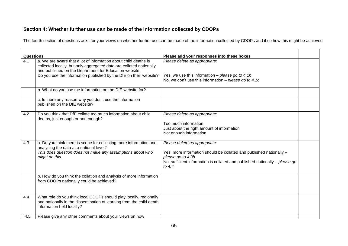#### **Section 4: Whether further use can be made of the information collected by CDOPs**

The fourth section of questions asks for your views on whether further use can be made of the information collected by CDOPs and if so how this might be achieved

| Questions |                                                                                                                                                                                                  | Please add your responses into these boxes                                                                                                                                                                           |  |
|-----------|--------------------------------------------------------------------------------------------------------------------------------------------------------------------------------------------------|----------------------------------------------------------------------------------------------------------------------------------------------------------------------------------------------------------------------|--|
| 4.1       | a. We are aware that a lot of information about child deaths is<br>collected locally, but only aggregated data are collated nationally<br>and published on the Department for Education website. | Please delete as appropriate:                                                                                                                                                                                        |  |
|           | Do you use the information published by the DfE on their website?                                                                                                                                | Yes, we use this information - please go to 4.1b<br>No, we don't use this information – please go to 4.1c                                                                                                            |  |
|           | b. What do you use the information on the DfE website for?                                                                                                                                       |                                                                                                                                                                                                                      |  |
|           | c. Is there any reason why you don't use the information<br>published on the DfE website?                                                                                                        |                                                                                                                                                                                                                      |  |
| 4.2       | Do you think that DfE collate too much information about child<br>deaths, just enough or not enough?                                                                                             | Please delete as appropriate:<br>Too much information<br>Just about the right amount of information<br>Not enough information                                                                                        |  |
| 4.3       | a. Do you think there is scope for collecting more information and<br>analysing the data at a national level?<br>This does question does not make any assumptions about who<br>might do this.    | Please delete as appropriate:<br>Yes, more information should be collated and published nationally -<br>please go to 4.3b<br>No, sufficient information is collated and published nationally - please go<br>to $4.4$ |  |
|           | b. How do you think the collation and analysis of more information<br>from CDOPs nationally could be achieved?                                                                                   |                                                                                                                                                                                                                      |  |
| 4.4       | What role do you think local CDOPs should play locally, regionally<br>and nationally in the dissemination of learning from the child death<br>information held locally?                          |                                                                                                                                                                                                                      |  |
| 4.5       | Please give any other comments about your views on how                                                                                                                                           |                                                                                                                                                                                                                      |  |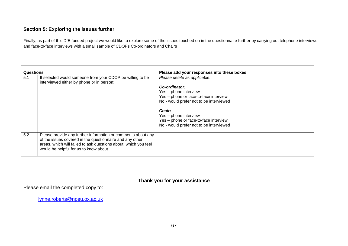#### **Section 5: Exploring the issues further**

Finally, as part of this DfE funded project we would like to explore some of the issues touched on in the questionnaire further by carrying out telephone interviews and face-to-face interviews with a small sample of CDOPs Co-ordinators and Chairs

| <b>Questions</b> |                                                                                                                             | Please add your responses into these boxes |  |
|------------------|-----------------------------------------------------------------------------------------------------------------------------|--------------------------------------------|--|
| 5.1              | If selected would someone from your CDOP be willing to be<br>interviewed either by phone or in person:                      | Please delete as applicable:               |  |
|                  |                                                                                                                             | Co-ordinator:                              |  |
|                  |                                                                                                                             | Yes - phone interview                      |  |
|                  |                                                                                                                             | Yes - phone or face-to-face interview      |  |
|                  |                                                                                                                             | No - would prefer not to be interviewed    |  |
|                  |                                                                                                                             | Chair:                                     |  |
|                  |                                                                                                                             | Yes - phone interview                      |  |
|                  |                                                                                                                             | Yes - phone or face-to-face interview      |  |
|                  |                                                                                                                             | No - would prefer not to be interviewed    |  |
|                  |                                                                                                                             |                                            |  |
| 5.2              | Please provide any further information or comments about any                                                                |                                            |  |
|                  | of the issues covered in the questionnaire and any other<br>areas, which will failed to ask questions about, which you feel |                                            |  |
|                  | would be helpful for us to know about                                                                                       |                                            |  |
|                  |                                                                                                                             |                                            |  |

#### **Thank you for your assistance**

Please email the completed copy to:

[lynne.roberts@npeu.ox.ac.uk](mailto:lynne.roberts@npeu.ox.ac.uk)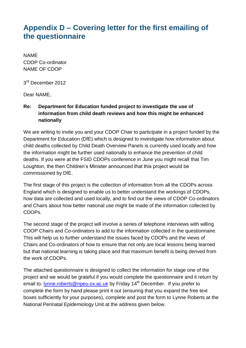## **Appendix D – Covering letter for the first emailing of the questionnaire**

NAME CDOP Co-ordinator NAME OF CDOP

3<sup>rd</sup> December 2012

Dear NAME,

#### **Re: Department for Education funded project to investigate the use of information from child death reviews and how this might be enhanced nationally**

We are writing to invite you and your CDOP Chair to participate in a project funded by the Department for Education (DfE) which is designed to investigate how information about child deaths collected by Child Death Overview Panels is currently used locally and how the information might be further used nationally to enhance the prevention of child deaths. If you were at the FSID CDOPs conference in June you might recall that Tim Loughton, the then Children's Minister announced that this project would be commissioned by DfE.

The first stage of this project is the collection of information from all the CDOPs across England which is designed to enable us to better understand the workings of CDOPs, how data are collected and used locally, and to find out the views of CDOP Co-ordinators and Chairs about how better national use might be made of the information collected by CDOPs.

The second stage of the project will involve a series of telephone interviews with willing CDOP Chairs and Co-ordinators to add to the information collected in the questionnaire. This will help us to further understand the issues faced by CDOPs and the views of Chairs and Co-ordinators of how to ensure that not only are local lessons being learned but that national learning is taking place and that maximum benefit is being derived from the work of CDOPs.

The attached questionnaire is designed to collect the information for stage one of the project and we would be grateful if you would complete the questionnaire and it return by email to: **lynne.roberts@npeu.ox.ac.uk** by Friday 14<sup>th</sup> December. If you prefer to complete the form by hand please print it out (ensuring that you expand the free text boxes sufficiently for your purposes), complete and post the form to Lynne Roberts at the National Perinatal Epidemiology Unit at the address given below.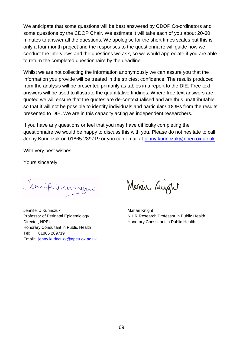We anticipate that some questions will be best answered by CDOP Co-ordinators and some questions by the CDOP Chair. We estimate it will take each of you about 20-30 minutes to answer all the questions. We apologise for the short times scales but this is only a four month project and the responses to the questionnaire will guide how we conduct the interviews and the questions we ask, so we would appreciate if you are able to return the completed questionnaire by the deadline.

Whilst we are not collecting the information anonymously we can assure you that the information you provide will be treated in the strictest confidence. The results produced from the analysis will be presented primarily as tables in a report to the DfE. Free text answers will be used to illustrate the quantitative findings. Where free text answers are quoted we will ensure that the quotes are de-contextualised and are thus unattributable so that it will not be possible to identify individuals and particular CDOPs from the results presented to DfE. We are in this capacity acting as independent researchers.

If you have any questions or feel that you may have difficulty completing the questionnaire we would be happy to discuss this with you. Please do not hesitate to call Jenny Kurinczuk on 01865 289719 or you can email at [jenny.kurinczuk@npeu.ox.ac.uk](mailto:jenny.kurinczuk@npeu.ox.ac.uk)

With very best wishes

Yours sincerely

Jennifert Kningerk

Jennifer J Kurinczuk Marian Knight Director, NPEU **Honorary Consultant in Public Health** Honorary Consultant in Public Health Tel: 01865 289719 Email: [jenny.kurincuzk@npeu.ox.ac.uk](mailto:jenny.kurincuzk@npeu.ox.ac.uk)

Marin Kuight

Professor of Perinatal Epidemiology NIHR Research Professor in Public Health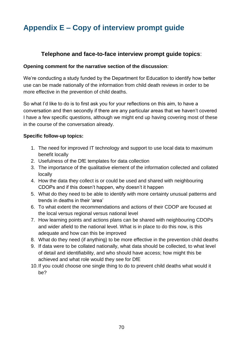# **Appendix E – Copy of interview prompt guide**

### **Telephone and face-to-face interview prompt guide topics**:

#### **Opening comment for the narrative section of the discussion**:

We're conducting a study funded by the Department for Education to identify how better use can be made nationally of the information from child death reviews in order to be more effective in the prevention of child deaths.

So what I'd like to do is to first ask you for your reflections on this aim, to have a conversation and then secondly if there are any particular areas that we haven't covered I have a few specific questions, although we might end up having covering most of these in the course of the conversation already.

#### **Specific follow-up topics:**

- 1. The need for improved IT technology and support to use local data to maximum benefit locally
- 2. Usefulness of the DfE templates for data collection
- 3. The importance of the qualitative element of the information collected and collated locally
- 4. How the data they collect is or could be used and shared with neighbouring CDOPs and if this doesn't happen, why doesn't it happen
- 5. What do they need to be able to identify with more certainty unusual patterns and trends in deaths in their 'area'
- 6. To what extent the recommendations and actions of their CDOP are focused at the local versus regional versus national level
- 7. How learning points and actions plans can be shared with neighbouring CDOPs and wider afield to the national level. What is in place to do this now, is this adequate and how can this be improved
- 8. What do they need (if anything) to be more effective in the prevention child deaths
- 9. If data were to be collated nationally, what data should be collected, to what level of detail and identifiability, and who should have access; how might this be achieved and what role would they see for DfE
- 10.If you could choose one single thing to do to prevent child deaths what would it be?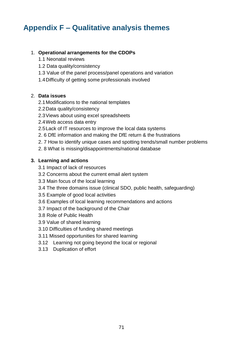## **Appendix F – Qualitative analysis themes**

#### 1. **Operational arrangements for the CDOPs**

- 1.1 Neonatal reviews
- 1.2 Data quality/consistency
- 1.3 Value of the panel process/panel operations and variation
- 1.4Difficulty of getting some professionals involved

#### 2. **Data issues**

- 2.1Modifications to the national templates
- 2.2Data quality/consistency
- 2.3Views about using excel spreadsheets
- 2.4Web access data entry
- 2.5Lack of IT resources to improve the local data systems
- 2. 6 DfE information and making the DfE return & the frustrations
- 2. 7 How to identify unique cases and spotting trends/small number problems
- 2. 8 What is missing/disappointments/national database

#### **3. Learning and actions**

- 3.1 Impact of lack of resources
- 3.2 Concerns about the current email alert system
- 3.3 Main focus of the local learning
- 3.4 The three domains issue (clinical SDO, public health, safeguarding)
- 3.5 Example of good local activities
- 3.6 Examples of local learning recommendations and actions
- 3.7 Impact of the background of the Chair
- 3.8 Role of Public Health
- 3.9 Value of shared learning
- 3.10 Difficulties of funding shared meetings
- 3.11 Missed opportunities for shared learning
- 3.12 Learning not going beyond the local or regional
- 3.13 Duplication of effort